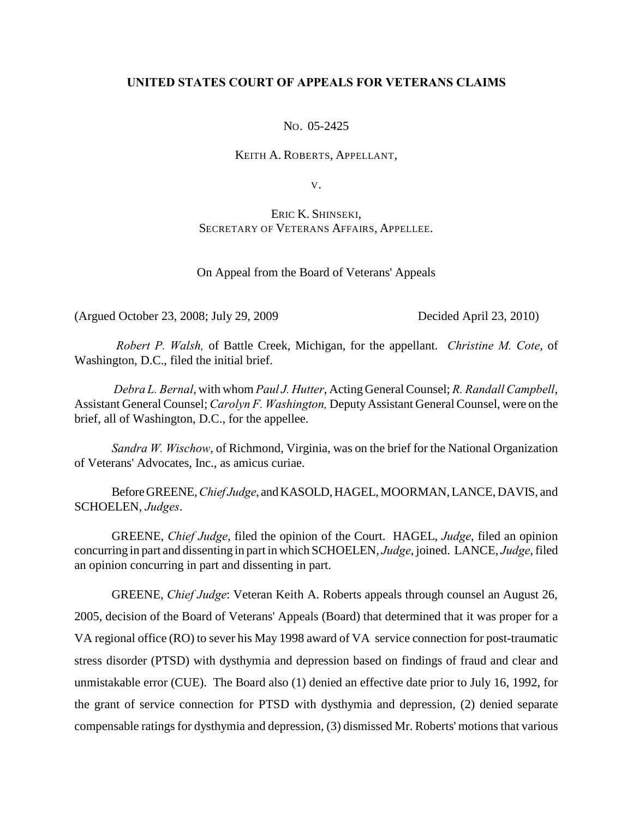# **UNITED STATES COURT OF APPEALS FOR VETERANS CLAIMS**

NO. 05-2425

KEITH A. ROBERTS, APPELLANT,

V.

ERIC K. SHINSEKI, SECRETARY OF VETERANS AFFAIRS, APPELLEE.

On Appeal from the Board of Veterans' Appeals

(Argued October 23, 2008; July 29, 2009 Decided April 23, 2010)

*Robert P. Walsh,* of Battle Creek, Michigan, for the appellant. *Christine M. Cote*, of Washington, D.C., filed the initial brief.

 *Debra L. Bernal*, with whom *Paul J. Hutter*, Acting General Counsel; *R. Randall Campbell*, Assistant General Counsel; *Carolyn F. Washington,* Deputy Assistant General Counsel, were on the brief, all of Washington, D.C., for the appellee.

*Sandra W. Wischow*, of Richmond, Virginia, was on the brief for the National Organization of Veterans' Advocates, Inc., as amicus curiae.

Before GREENE, *Chief Judge*, and KASOLD, HAGEL, MOORMAN, LANCE, DAVIS, and SCHOELEN, *Judges*.

GREENE, *Chief Judge*, filed the opinion of the Court. HAGEL, *Judge*, filed an opinion concurring in part and dissenting in part in which SCHOELEN, *Judge*, joined. LANCE, *Judge*, filed an opinion concurring in part and dissenting in part.

GREENE, *Chief Judge*: Veteran Keith A. Roberts appeals through counsel an August 26, 2005, decision of the Board of Veterans' Appeals (Board) that determined that it was proper for a VA regional office (RO) to sever his May 1998 award of VA service connection for post-traumatic stress disorder (PTSD) with dysthymia and depression based on findings of fraud and clear and unmistakable error (CUE). The Board also (1) denied an effective date prior to July 16, 1992, for the grant of service connection for PTSD with dysthymia and depression, (2) denied separate compensable ratings for dysthymia and depression, (3) dismissed Mr. Roberts' motions that various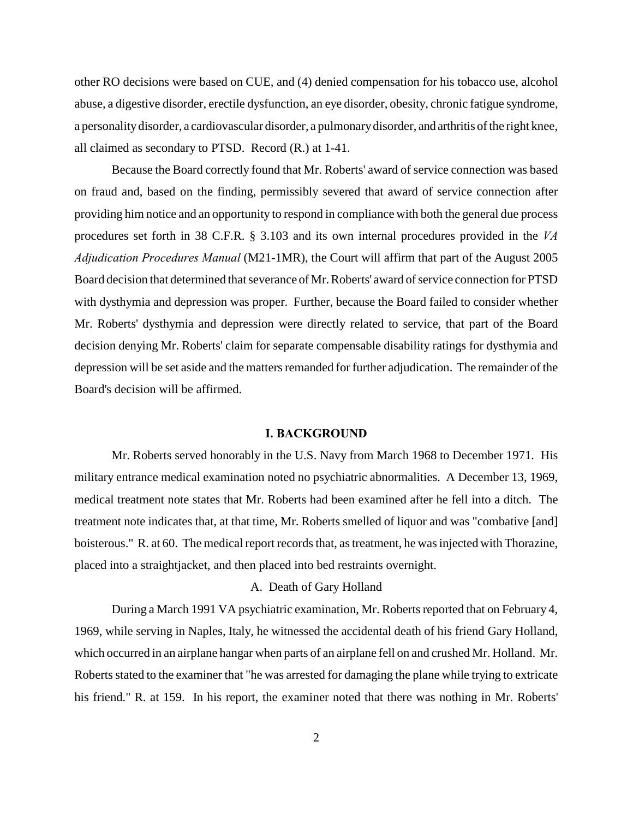other RO decisions were based on CUE, and (4) denied compensation for his tobacco use, alcohol abuse, a digestive disorder, erectile dysfunction, an eye disorder, obesity, chronic fatigue syndrome, a personality disorder, a cardiovascular disorder, a pulmonary disorder, and arthritis of the right knee, all claimed as secondary to PTSD. Record (R.) at 1-41.

Because the Board correctly found that Mr. Roberts' award of service connection was based on fraud and, based on the finding, permissibly severed that award of service connection after providing him notice and an opportunity to respond in compliance with both the general due process procedures set forth in 38 C.F.R. § 3.103 and its own internal procedures provided in the *VA Adjudication Procedures Manual* (M21-1MR), the Court will affirm that part of the August 2005 Board decision that determined that severance of Mr. Roberts' award of service connection for PTSD with dysthymia and depression was proper. Further, because the Board failed to consider whether Mr. Roberts' dysthymia and depression were directly related to service, that part of the Board decision denying Mr. Roberts' claim for separate compensable disability ratings for dysthymia and depression will be set aside and the matters remanded for further adjudication. The remainder of the Board's decision will be affirmed.

#### **I. BACKGROUND**

Mr. Roberts served honorably in the U.S. Navy from March 1968 to December 1971. His military entrance medical examination noted no psychiatric abnormalities. A December 13, 1969, medical treatment note states that Mr. Roberts had been examined after he fell into a ditch. The treatment note indicates that, at that time, Mr. Roberts smelled of liquor and was "combative [and] boisterous." R. at 60. The medical report records that, as treatment, he was injected with Thorazine, placed into a straightjacket, and then placed into bed restraints overnight.

#### A. Death of Gary Holland

During a March 1991 VA psychiatric examination, Mr. Roberts reported that on February 4, 1969, while serving in Naples, Italy, he witnessed the accidental death of his friend Gary Holland, which occurred in an airplane hangar when parts of an airplane fell on and crushed Mr. Holland. Mr. Roberts stated to the examiner that "he was arrested for damaging the plane while trying to extricate his friend." R. at 159. In his report, the examiner noted that there was nothing in Mr. Roberts'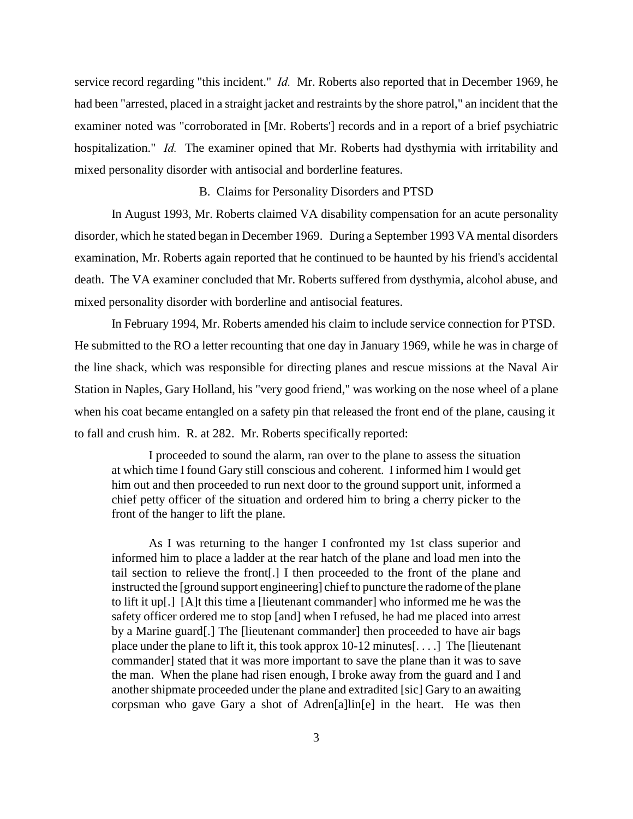service record regarding "this incident." *Id.* Mr. Roberts also reported that in December 1969, he had been "arrested, placed in a straight jacket and restraints by the shore patrol," an incident that the examiner noted was "corroborated in [Mr. Roberts'] records and in a report of a brief psychiatric hospitalization." *Id.* The examiner opined that Mr. Roberts had dysthymia with irritability and mixed personality disorder with antisocial and borderline features.

#### B. Claims for Personality Disorders and PTSD

In August 1993, Mr. Roberts claimed VA disability compensation for an acute personality disorder, which he stated began in December 1969. During a September 1993 VA mental disorders examination, Mr. Roberts again reported that he continued to be haunted by his friend's accidental death. The VA examiner concluded that Mr. Roberts suffered from dysthymia, alcohol abuse, and mixed personality disorder with borderline and antisocial features.

In February 1994, Mr. Roberts amended his claim to include service connection for PTSD. He submitted to the RO a letter recounting that one day in January 1969, while he was in charge of the line shack, which was responsible for directing planes and rescue missions at the Naval Air Station in Naples, Gary Holland, his "very good friend," was working on the nose wheel of a plane when his coat became entangled on a safety pin that released the front end of the plane, causing it to fall and crush him. R. at 282. Mr. Roberts specifically reported:

I proceeded to sound the alarm, ran over to the plane to assess the situation at which time I found Gary still conscious and coherent. I informed him I would get him out and then proceeded to run next door to the ground support unit, informed a chief petty officer of the situation and ordered him to bring a cherry picker to the front of the hanger to lift the plane.

As I was returning to the hanger I confronted my 1st class superior and informed him to place a ladder at the rear hatch of the plane and load men into the tail section to relieve the front[.] I then proceeded to the front of the plane and instructed the [ground support engineering] chief to puncture the radome of the plane to lift it up[.] [A]t this time a [lieutenant commander] who informed me he was the safety officer ordered me to stop [and] when I refused, he had me placed into arrest by a Marine guard[.] The [lieutenant commander] then proceeded to have air bags place under the plane to lift it, this took approx  $10-12$  minutes[...] The [lieutenant commander] stated that it was more important to save the plane than it was to save the man. When the plane had risen enough, I broke away from the guard and I and another shipmate proceeded under the plane and extradited [sic] Gary to an awaiting corpsman who gave Gary a shot of Adren[a]lin[e] in the heart. He was then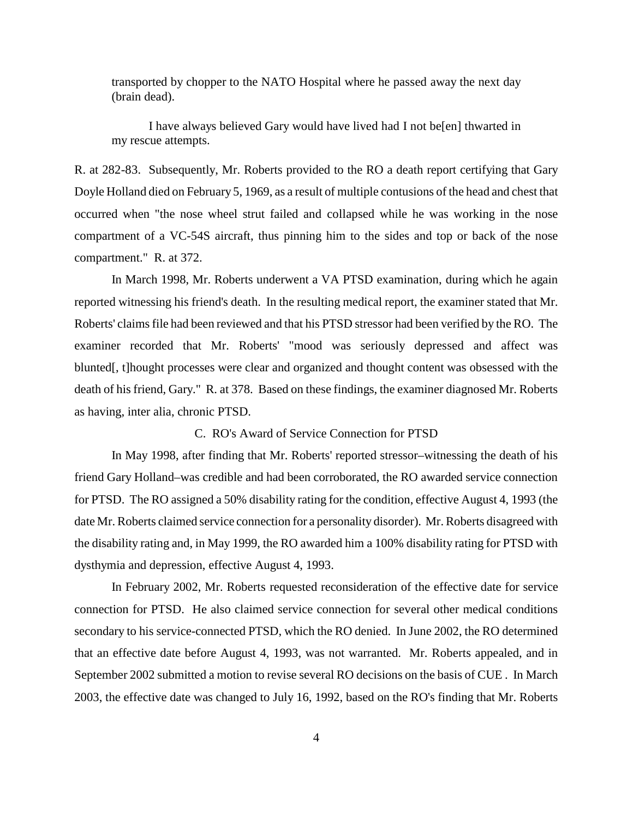transported by chopper to the NATO Hospital where he passed away the next day (brain dead).

I have always believed Gary would have lived had I not be[en] thwarted in my rescue attempts.

R. at 282-83. Subsequently, Mr. Roberts provided to the RO a death report certifying that Gary Doyle Holland died on February 5, 1969, as a result of multiple contusions of the head and chest that occurred when "the nose wheel strut failed and collapsed while he was working in the nose compartment of a VC-54S aircraft, thus pinning him to the sides and top or back of the nose compartment." R. at 372.

In March 1998, Mr. Roberts underwent a VA PTSD examination, during which he again reported witnessing his friend's death. In the resulting medical report, the examiner stated that Mr. Roberts' claims file had been reviewed and that his PTSD stressor had been verified by the RO. The examiner recorded that Mr. Roberts' "mood was seriously depressed and affect was blunted[, t]hought processes were clear and organized and thought content was obsessed with the death of his friend, Gary." R. at 378. Based on these findings, the examiner diagnosed Mr. Roberts as having, inter alia, chronic PTSD.

#### C. RO's Award of Service Connection for PTSD

In May 1998, after finding that Mr. Roberts' reported stressor–witnessing the death of his friend Gary Holland–was credible and had been corroborated, the RO awarded service connection for PTSD. The RO assigned a 50% disability rating for the condition, effective August 4, 1993 (the date Mr. Roberts claimed service connection for a personality disorder). Mr. Roberts disagreed with the disability rating and, in May 1999, the RO awarded him a 100% disability rating for PTSD with dysthymia and depression, effective August 4, 1993.

In February 2002, Mr. Roberts requested reconsideration of the effective date for service connection for PTSD. He also claimed service connection for several other medical conditions secondary to his service-connected PTSD, which the RO denied. In June 2002, the RO determined that an effective date before August 4, 1993, was not warranted. Mr. Roberts appealed, and in September 2002 submitted a motion to revise several RO decisions on the basis of CUE . In March 2003, the effective date was changed to July 16, 1992, based on the RO's finding that Mr. Roberts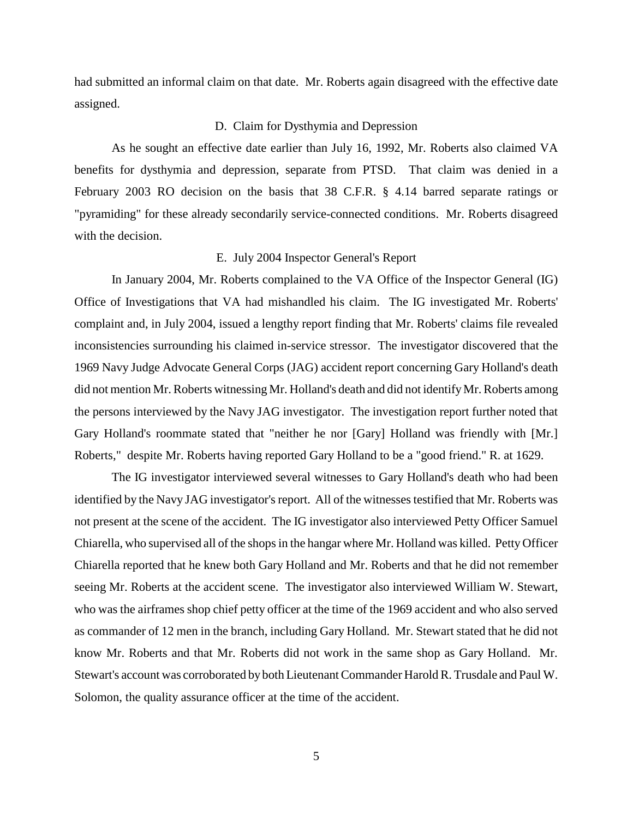had submitted an informal claim on that date. Mr. Roberts again disagreed with the effective date assigned.

#### D. Claim for Dysthymia and Depression

As he sought an effective date earlier than July 16, 1992, Mr. Roberts also claimed VA benefits for dysthymia and depression, separate from PTSD. That claim was denied in a February 2003 RO decision on the basis that 38 C.F.R. § 4.14 barred separate ratings or "pyramiding" for these already secondarily service-connected conditions. Mr. Roberts disagreed with the decision.

#### E. July 2004 Inspector General's Report

In January 2004, Mr. Roberts complained to the VA Office of the Inspector General (IG) Office of Investigations that VA had mishandled his claim. The IG investigated Mr. Roberts' complaint and, in July 2004, issued a lengthy report finding that Mr. Roberts' claims file revealed inconsistencies surrounding his claimed in-service stressor. The investigator discovered that the 1969 Navy Judge Advocate General Corps (JAG) accident report concerning Gary Holland's death did not mention Mr. Roberts witnessing Mr. Holland's death and did not identify Mr. Roberts among the persons interviewed by the Navy JAG investigator. The investigation report further noted that Gary Holland's roommate stated that "neither he nor [Gary] Holland was friendly with [Mr.] Roberts," despite Mr. Roberts having reported Gary Holland to be a "good friend." R. at 1629.

The IG investigator interviewed several witnesses to Gary Holland's death who had been identified by the Navy JAG investigator's report. All of the witnesses testified that Mr. Roberts was not present at the scene of the accident. The IG investigator also interviewed Petty Officer Samuel Chiarella, who supervised all of the shops in the hangar where Mr. Holland was killed. Petty Officer Chiarella reported that he knew both Gary Holland and Mr. Roberts and that he did not remember seeing Mr. Roberts at the accident scene. The investigator also interviewed William W. Stewart, who was the airframes shop chief petty officer at the time of the 1969 accident and who also served as commander of 12 men in the branch, including Gary Holland. Mr. Stewart stated that he did not know Mr. Roberts and that Mr. Roberts did not work in the same shop as Gary Holland. Mr. Stewart's account was corroborated by both Lieutenant Commander Harold R. Trusdale and Paul W. Solomon, the quality assurance officer at the time of the accident.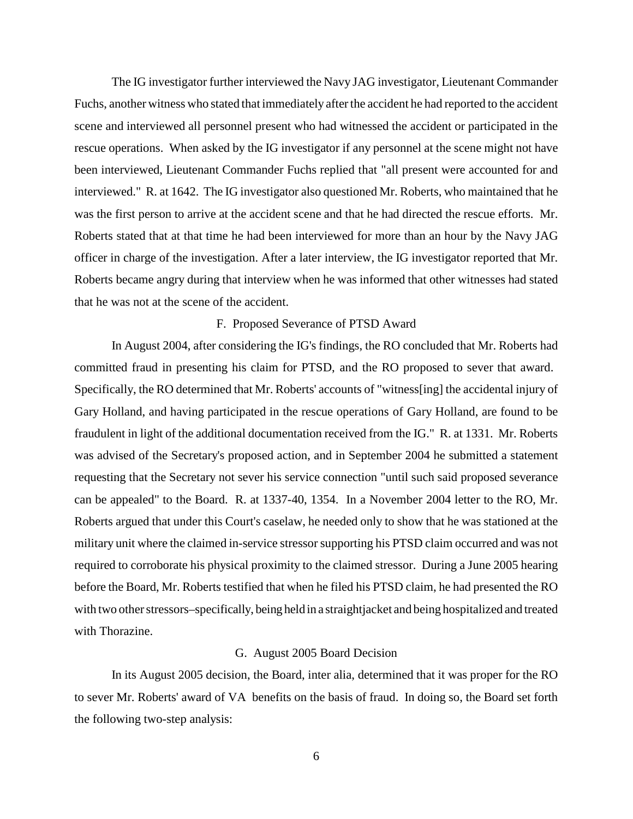The IG investigator further interviewed the Navy JAG investigator, Lieutenant Commander Fuchs, another witness who stated that immediately after the accident he had reported to the accident scene and interviewed all personnel present who had witnessed the accident or participated in the rescue operations. When asked by the IG investigator if any personnel at the scene might not have been interviewed, Lieutenant Commander Fuchs replied that "all present were accounted for and interviewed." R. at 1642. The IG investigator also questioned Mr. Roberts, who maintained that he was the first person to arrive at the accident scene and that he had directed the rescue efforts. Mr. Roberts stated that at that time he had been interviewed for more than an hour by the Navy JAG officer in charge of the investigation. After a later interview, the IG investigator reported that Mr. Roberts became angry during that interview when he was informed that other witnesses had stated that he was not at the scene of the accident.

### F. Proposed Severance of PTSD Award

In August 2004, after considering the IG's findings, the RO concluded that Mr. Roberts had committed fraud in presenting his claim for PTSD, and the RO proposed to sever that award. Specifically, the RO determined that Mr. Roberts' accounts of "witness[ing] the accidental injury of Gary Holland, and having participated in the rescue operations of Gary Holland, are found to be fraudulent in light of the additional documentation received from the IG." R. at 1331. Mr. Roberts was advised of the Secretary's proposed action, and in September 2004 he submitted a statement requesting that the Secretary not sever his service connection "until such said proposed severance can be appealed" to the Board. R. at 1337-40, 1354. In a November 2004 letter to the RO, Mr. Roberts argued that under this Court's caselaw, he needed only to show that he was stationed at the military unit where the claimed in-service stressor supporting his PTSD claim occurred and was not required to corroborate his physical proximity to the claimed stressor. During a June 2005 hearing before the Board, Mr. Roberts testified that when he filed his PTSD claim, he had presented the RO with two other stressors–specifically, being held in a straightjacket and being hospitalized and treated with Thorazine.

#### G. August 2005 Board Decision

In its August 2005 decision, the Board, inter alia, determined that it was proper for the RO to sever Mr. Roberts' award of VA benefits on the basis of fraud. In doing so, the Board set forth the following two-step analysis: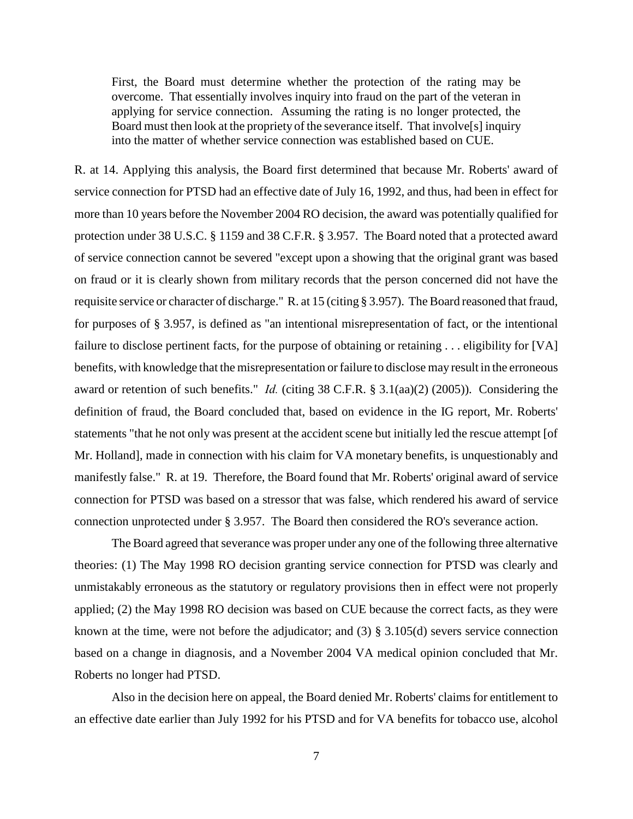First, the Board must determine whether the protection of the rating may be overcome. That essentially involves inquiry into fraud on the part of the veteran in applying for service connection. Assuming the rating is no longer protected, the Board must then look at the propriety of the severance itself. That involve[s] inquiry into the matter of whether service connection was established based on CUE.

R. at 14. Applying this analysis, the Board first determined that because Mr. Roberts' award of service connection for PTSD had an effective date of July 16, 1992, and thus, had been in effect for more than 10 years before the November 2004 RO decision, the award was potentially qualified for protection under 38 U.S.C. § 1159 and 38 C.F.R. § 3.957. The Board noted that a protected award of service connection cannot be severed "except upon a showing that the original grant was based on fraud or it is clearly shown from military records that the person concerned did not have the requisite service or character of discharge." R. at 15 (citing § 3.957). The Board reasoned that fraud, for purposes of § 3.957, is defined as "an intentional misrepresentation of fact, or the intentional failure to disclose pertinent facts, for the purpose of obtaining or retaining . . . eligibility for [VA] benefits, with knowledge that the misrepresentation or failure to disclose may result in the erroneous award or retention of such benefits." *Id.* (citing 38 C.F.R. § 3.1(aa)(2) (2005)). Considering the definition of fraud, the Board concluded that, based on evidence in the IG report, Mr. Roberts' statements "that he not only was present at the accident scene but initially led the rescue attempt [of Mr. Holland], made in connection with his claim for VA monetary benefits, is unquestionably and manifestly false." R. at 19. Therefore, the Board found that Mr. Roberts' original award of service connection for PTSD was based on a stressor that was false, which rendered his award of service connection unprotected under § 3.957. The Board then considered the RO's severance action.

The Board agreed that severance was proper under any one of the following three alternative theories: (1) The May 1998 RO decision granting service connection for PTSD was clearly and unmistakably erroneous as the statutory or regulatory provisions then in effect were not properly applied; (2) the May 1998 RO decision was based on CUE because the correct facts, as they were known at the time, were not before the adjudicator; and (3) § 3.105(d) severs service connection based on a change in diagnosis, and a November 2004 VA medical opinion concluded that Mr. Roberts no longer had PTSD.

Also in the decision here on appeal, the Board denied Mr. Roberts' claims for entitlement to an effective date earlier than July 1992 for his PTSD and for VA benefits for tobacco use, alcohol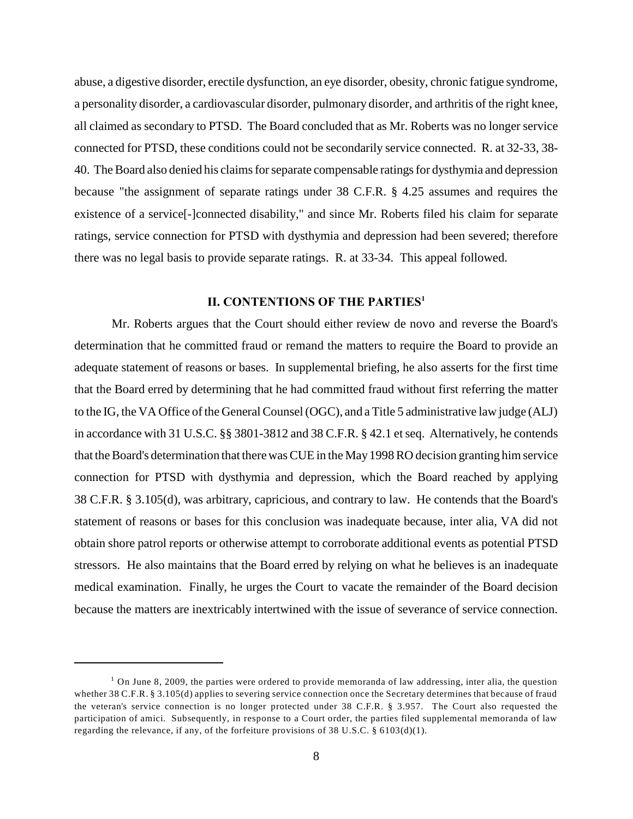abuse, a digestive disorder, erectile dysfunction, an eye disorder, obesity, chronic fatigue syndrome, a personality disorder, a cardiovascular disorder, pulmonary disorder, and arthritis of the right knee, all claimed as secondary to PTSD. The Board concluded that as Mr. Roberts was no longer service connected for PTSD, these conditions could not be secondarily service connected. R. at 32-33, 38- 40. The Board also denied his claims for separate compensable ratings for dysthymia and depression because "the assignment of separate ratings under 38 C.F.R. § 4.25 assumes and requires the existence of a service[-]connected disability," and since Mr. Roberts filed his claim for separate ratings, service connection for PTSD with dysthymia and depression had been severed; therefore there was no legal basis to provide separate ratings. R. at 33-34. This appeal followed.

# **II. CONTENTIONS OF THE PARTIES<sup>1</sup>**

Mr. Roberts argues that the Court should either review de novo and reverse the Board's determination that he committed fraud or remand the matters to require the Board to provide an adequate statement of reasons or bases. In supplemental briefing, he also asserts for the first time that the Board erred by determining that he had committed fraud without first referring the matter to the IG, the VA Office of the General Counsel (OGC), and a Title 5 administrative law judge (ALJ) in accordance with 31 U.S.C. §§ 3801-3812 and 38 C.F.R. § 42.1 et seq. Alternatively, he contends that the Board's determination that there was CUE in the May 1998 RO decision granting him service connection for PTSD with dysthymia and depression, which the Board reached by applying 38 C.F.R. § 3.105(d), was arbitrary, capricious, and contrary to law. He contends that the Board's statement of reasons or bases for this conclusion was inadequate because, inter alia, VA did not obtain shore patrol reports or otherwise attempt to corroborate additional events as potential PTSD stressors. He also maintains that the Board erred by relying on what he believes is an inadequate medical examination. Finally, he urges the Court to vacate the remainder of the Board decision because the matters are inextricably intertwined with the issue of severance of service connection.

<sup>&</sup>lt;sup>1</sup> On June 8, 2009, the parties were ordered to provide memoranda of law addressing, inter alia, the question whether 38 C.F.R. § 3.105(d) applies to severing service connection once the Secretary determines that because of fraud the veteran's service connection is no longer protected under 38 C.F.R. § 3.957. The Court also requested the participation of amici. Subsequently, in response to a Court order, the parties filed supplemental memoranda of law regarding the relevance, if any, of the forfeiture provisions of 38 U.S.C. § 6103(d)(1).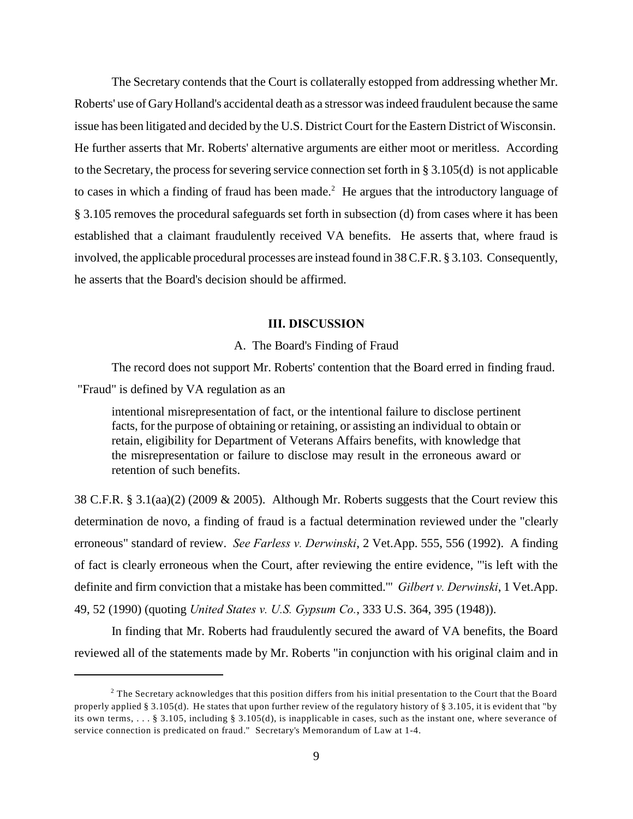The Secretary contends that the Court is collaterally estopped from addressing whether Mr. Roberts' use of Gary Holland's accidental death as a stressor was indeed fraudulent because the same issue has been litigated and decided by the U.S. District Court for the Eastern District of Wisconsin. He further asserts that Mr. Roberts' alternative arguments are either moot or meritless. According to the Secretary, the process for severing service connection set forth in § 3.105(d) is not applicable to cases in which a finding of fraud has been made.<sup>2</sup> He argues that the introductory language of § 3.105 removes the procedural safeguards set forth in subsection (d) from cases where it has been established that a claimant fraudulently received VA benefits. He asserts that, where fraud is involved, the applicable procedural processes are instead found in 38 C.F.R. § 3.103. Consequently, he asserts that the Board's decision should be affirmed.

## **III. DISCUSSION**

#### A. The Board's Finding of Fraud

The record does not support Mr. Roberts' contention that the Board erred in finding fraud.

"Fraud" is defined by VA regulation as an

intentional misrepresentation of fact, or the intentional failure to disclose pertinent facts, for the purpose of obtaining or retaining, or assisting an individual to obtain or retain, eligibility for Department of Veterans Affairs benefits, with knowledge that the misrepresentation or failure to disclose may result in the erroneous award or retention of such benefits.

38 C.F.R. § 3.1(aa)(2) (2009 & 2005). Although Mr. Roberts suggests that the Court review this determination de novo, a finding of fraud is a factual determination reviewed under the "clearly erroneous" standard of review. *See Farless v. Derwinski*, 2 Vet.App. 555, 556 (1992). A finding of fact is clearly erroneous when the Court, after reviewing the entire evidence, "'is left with the definite and firm conviction that a mistake has been committed.'" *Gilbert v. Derwinski*, 1 Vet.App. 49, 52 (1990) (quoting *United States v. U.S. Gypsum Co.*, 333 U.S. 364, 395 (1948)).

In finding that Mr. Roberts had fraudulently secured the award of VA benefits, the Board reviewed all of the statements made by Mr. Roberts "in conjunction with his original claim and in

<sup>&</sup>lt;sup>2</sup> The Secretary acknowledges that this position differs from his initial presentation to the Court that the Board properly applied § 3.105(d). He states that upon further review of the regulatory history of § 3.105, it is evident that "by its own terms, . . . § 3.105, including § 3.105(d), is inapplicable in cases, such as the instant one, where severance of service connection is predicated on fraud." Secretary's Memorandum of Law at 1-4.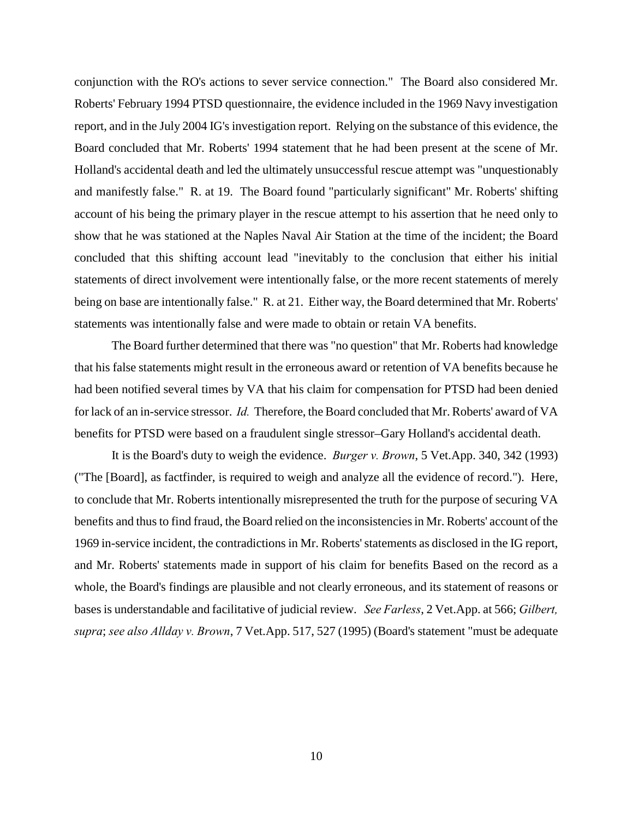conjunction with the RO's actions to sever service connection." The Board also considered Mr. Roberts' February 1994 PTSD questionnaire, the evidence included in the 1969 Navy investigation report, and in the July 2004 IG's investigation report. Relying on the substance of this evidence, the Board concluded that Mr. Roberts' 1994 statement that he had been present at the scene of Mr. Holland's accidental death and led the ultimately unsuccessful rescue attempt was "unquestionably and manifestly false." R. at 19. The Board found "particularly significant" Mr. Roberts' shifting account of his being the primary player in the rescue attempt to his assertion that he need only to show that he was stationed at the Naples Naval Air Station at the time of the incident; the Board concluded that this shifting account lead "inevitably to the conclusion that either his initial statements of direct involvement were intentionally false, or the more recent statements of merely being on base are intentionally false." R. at 21. Either way, the Board determined that Mr. Roberts' statements was intentionally false and were made to obtain or retain VA benefits.

The Board further determined that there was "no question" that Mr. Roberts had knowledge that his false statements might result in the erroneous award or retention of VA benefits because he had been notified several times by VA that his claim for compensation for PTSD had been denied for lack of an in-service stressor. *Id.* Therefore, the Board concluded that Mr. Roberts' award of VA benefits for PTSD were based on a fraudulent single stressor–Gary Holland's accidental death.

It is the Board's duty to weigh the evidence. *Burger v. Brown*, 5 Vet.App. 340, 342 (1993) ("The [Board], as factfinder, is required to weigh and analyze all the evidence of record."). Here, to conclude that Mr. Roberts intentionally misrepresented the truth for the purpose of securing VA benefits and thus to find fraud, the Board relied on the inconsistencies in Mr. Roberts' account of the 1969 in-service incident, the contradictions in Mr. Roberts' statements as disclosed in the IG report, and Mr. Roberts' statements made in support of his claim for benefits Based on the record as a whole, the Board's findings are plausible and not clearly erroneous, and its statement of reasons or bases is understandable and facilitative of judicial review. *See Farless*, 2 Vet.App. at 566; *Gilbert, supra*; *see also Allday v. Brown*, 7 Vet.App. 517, 527 (1995) (Board's statement "must be adequate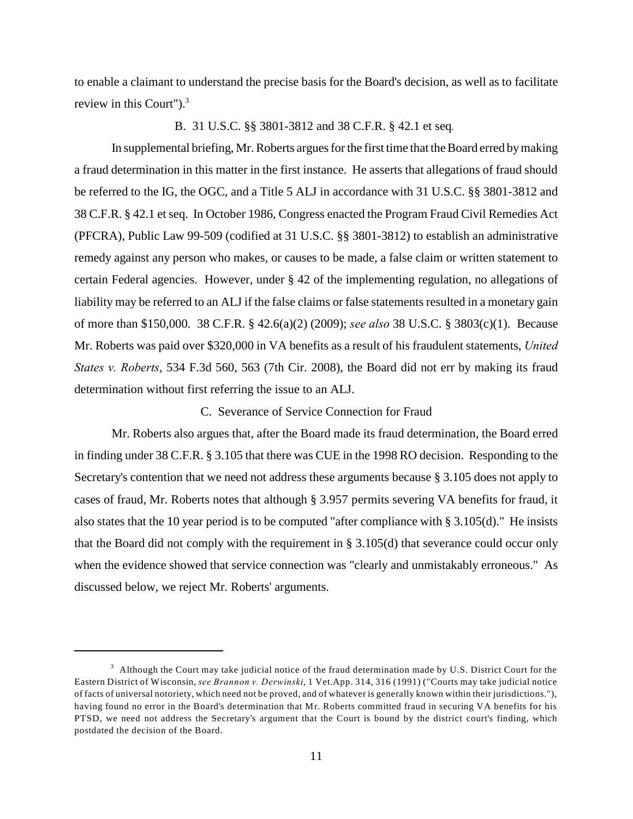to enable a claimant to understand the precise basis for the Board's decision, as well as to facilitate review in this Court").<sup>3</sup>

#### B. 31 U.S.C. §§ 3801-3812 and 38 C.F.R. § 42.1 et seq*.*

In supplemental briefing, Mr. Roberts argues for the first time that the Board erred by making a fraud determination in this matter in the first instance. He asserts that allegations of fraud should be referred to the IG, the OGC, and a Title 5 ALJ in accordance with 31 U.S.C. §§ 3801-3812 and 38 C.F.R. § 42.1 et seq. In October 1986, Congress enacted the Program Fraud Civil Remedies Act (PFCRA), Public Law 99-509 (codified at 31 U.S.C. §§ 3801-3812) to establish an administrative remedy against any person who makes, or causes to be made, a false claim or written statement to certain Federal agencies. However, under § 42 of the implementing regulation, no allegations of liability may be referred to an ALJ if the false claims or false statements resulted in a monetary gain of more than \$150,000. 38 C.F.R. § 42.6(a)(2) (2009); *see also* 38 U.S.C. § 3803(c)(1). Because Mr. Roberts was paid over \$320,000 in VA benefits as a result of his fraudulent statements, *United States v. Roberts*, 534 F.3d 560, 563 (7th Cir. 2008), the Board did not err by making its fraud determination without first referring the issue to an ALJ.

### C. Severance of Service Connection for Fraud

Mr. Roberts also argues that, after the Board made its fraud determination, the Board erred in finding under 38 C.F.R. § 3.105 that there was CUE in the 1998 RO decision. Responding to the Secretary's contention that we need not address these arguments because § 3.105 does not apply to cases of fraud, Mr. Roberts notes that although § 3.957 permits severing VA benefits for fraud, it also states that the 10 year period is to be computed "after compliance with § 3.105(d)." He insists that the Board did not comply with the requirement in § 3.105(d) that severance could occur only when the evidence showed that service connection was "clearly and unmistakably erroneous." As discussed below, we reject Mr. Roberts' arguments.

<sup>&</sup>lt;sup>3</sup> Although the Court may take judicial notice of the fraud determination made by U.S. District Court for the Eastern District of Wisconsin, *see Brannon v. Derwinski*, 1 Vet.App. 314, 316 (1991) ("Courts may take judicial notice of facts of universal notoriety, which need not be proved, and of whatever is generally known within their jurisdictions."), having found no error in the Board's determination that Mr. Roberts committed fraud in securing VA benefits for his PTSD, we need not address the Secretary's argument that the Court is bound by the district court's finding, which postdated the decision of the Board.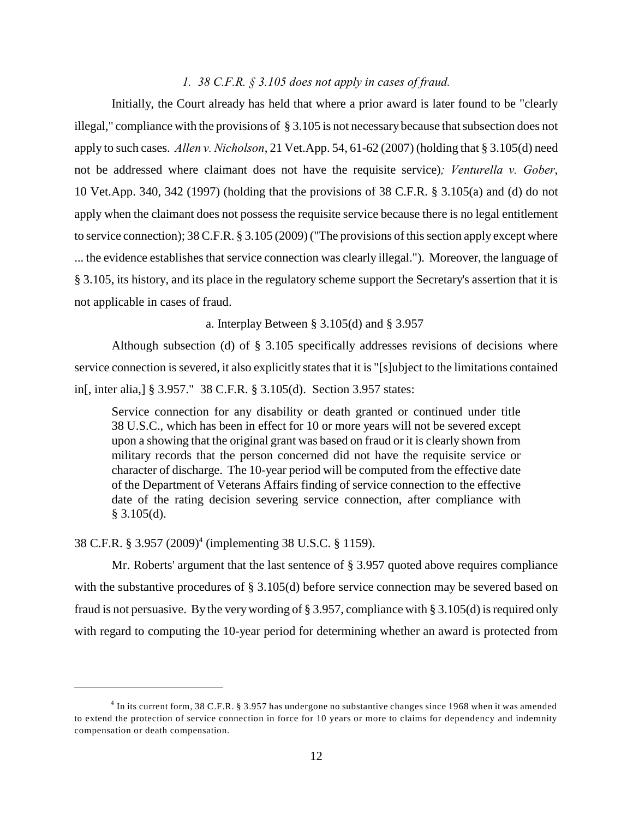#### *1. 38 C.F.R. § 3.105 does not apply in cases of fraud.*

Initially, the Court already has held that where a prior award is later found to be "clearly illegal," compliance with the provisions of § 3.105 is not necessary because that subsection does not apply to such cases. *Allen v. Nicholson*, 21 Vet.App. 54, 61-62 (2007) (holding that § 3.105(d) need not be addressed where claimant does not have the requisite service)*; Venturella v. Gober*, 10 Vet.App. 340, 342 (1997) (holding that the provisions of 38 C.F.R. § 3.105(a) and (d) do not apply when the claimant does not possess the requisite service because there is no legal entitlement to service connection); 38 C.F.R. § 3.105 (2009) ("The provisions of this section apply except where ... the evidence establishes that service connection was clearly illegal."). Moreover, the language of § 3.105, its history, and its place in the regulatory scheme support the Secretary's assertion that it is not applicable in cases of fraud.

a. Interplay Between § 3.105(d) and § 3.957

Although subsection (d) of § 3.105 specifically addresses revisions of decisions where service connection is severed, it also explicitly states that it is "[s]ubject to the limitations contained in[, inter alia,] § 3.957." 38 C.F.R. § 3.105(d). Section 3.957 states:

Service connection for any disability or death granted or continued under title 38 U.S.C., which has been in effect for 10 or more years will not be severed except upon a showing that the original grant was based on fraud or it is clearly shown from military records that the person concerned did not have the requisite service or character of discharge. The 10-year period will be computed from the effective date of the Department of Veterans Affairs finding of service connection to the effective date of the rating decision severing service connection, after compliance with § 3.105(d).

38 C.F.R. § 3.957 (2009)<sup>4</sup> (implementing 38 U.S.C. § 1159).

Mr. Roberts' argument that the last sentence of § 3.957 quoted above requires compliance with the substantive procedures of § 3.105(d) before service connection may be severed based on fraud is not persuasive. By the very wording of  $\S 3.957$ , compliance with  $\S 3.105(d)$  is required only with regard to computing the 10-year period for determining whether an award is protected from

<sup>&</sup>lt;sup>4</sup> In its current form, 38 C.F.R. § 3.957 has undergone no substantive changes since 1968 when it was amended to extend the protection of service connection in force for 10 years or more to claims for dependency and indemnity compensation or death compensation.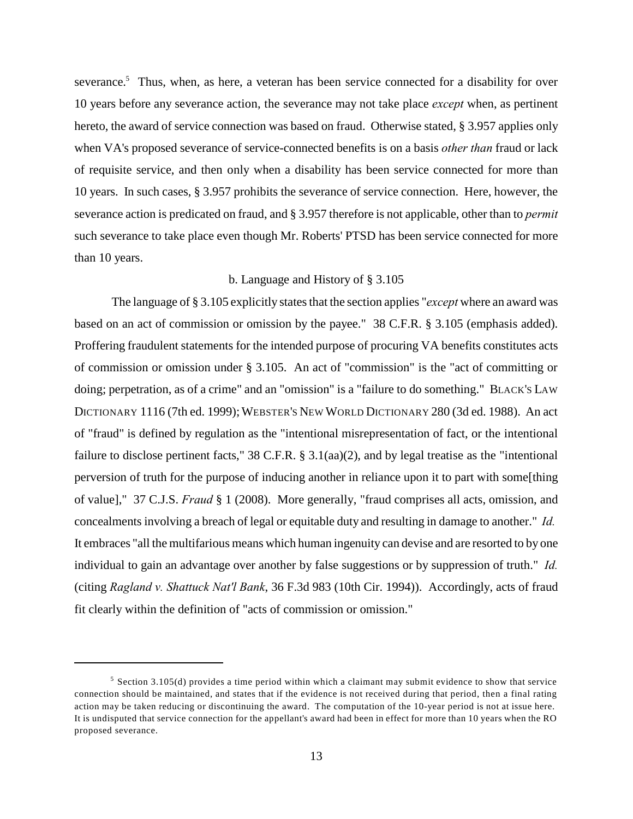severance.<sup>5</sup> Thus, when, as here, a veteran has been service connected for a disability for over 10 years before any severance action, the severance may not take place *except* when, as pertinent hereto, the award of service connection was based on fraud. Otherwise stated, § 3.957 applies only when VA's proposed severance of service-connected benefits is on a basis *other than* fraud or lack of requisite service, and then only when a disability has been service connected for more than 10 years. In such cases, § 3.957 prohibits the severance of service connection. Here, however, the severance action is predicated on fraud, and § 3.957 therefore is not applicable, other than to *permit* such severance to take place even though Mr. Roberts' PTSD has been service connected for more than 10 years.

### b. Language and History of § 3.105

The language of § 3.105 explicitly states that the section applies "*except* where an award was based on an act of commission or omission by the payee." 38 C.F.R. § 3.105 (emphasis added). Proffering fraudulent statements for the intended purpose of procuring VA benefits constitutes acts of commission or omission under § 3.105. An act of "commission" is the "act of committing or doing; perpetration, as of a crime" and an "omission" is a "failure to do something." BLACK'S LAW DICTIONARY 1116 (7th ed. 1999); WEBSTER'S NEW WORLD DICTIONARY 280 (3d ed. 1988). An act of "fraud" is defined by regulation as the "intentional misrepresentation of fact, or the intentional failure to disclose pertinent facts," 38 C.F.R. § 3.1(aa)(2), and by legal treatise as the "intentional perversion of truth for the purpose of inducing another in reliance upon it to part with some[thing of value]," 37 C.J.S. *Fraud* § 1 (2008). More generally, "fraud comprises all acts, omission, and concealments involving a breach of legal or equitable duty and resulting in damage to another." *Id.*  It embraces "all the multifarious means which human ingenuity can devise and are resorted to by one individual to gain an advantage over another by false suggestions or by suppression of truth." *Id.* (citing *Ragland v. Shattuck Nat'l Bank*, 36 F.3d 983 (10th Cir. 1994)). Accordingly, acts of fraud fit clearly within the definition of "acts of commission or omission."

 $5$  Section 3.105(d) provides a time period within which a claimant may submit evidence to show that service connection should be maintained, and states that if the evidence is not received during that period, then a final rating action may be taken reducing or discontinuing the award. The computation of the 10-year period is not at issue here. It is undisputed that service connection for the appellant's award had been in effect for more than 10 years when the RO proposed severance.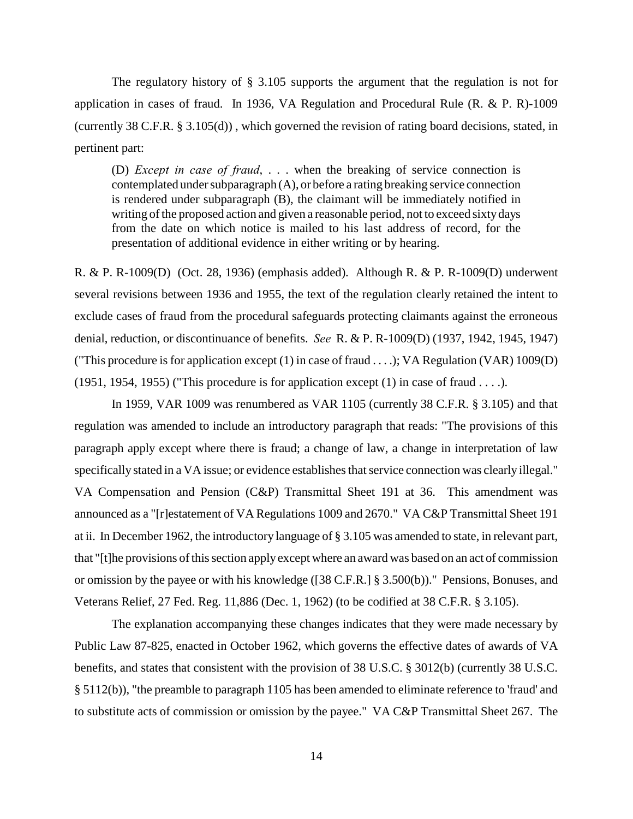The regulatory history of § 3.105 supports the argument that the regulation is not for application in cases of fraud. In 1936, VA Regulation and Procedural Rule (R. & P. R)-1009 (currently 38 C.F.R. § 3.105(d)) , which governed the revision of rating board decisions, stated, in pertinent part:

(D) *Except in case of fraud*, . . . when the breaking of service connection is contemplated under subparagraph (A), or before a rating breaking service connection is rendered under subparagraph (B), the claimant will be immediately notified in writing of the proposed action and given a reasonable period, not to exceed sixty days from the date on which notice is mailed to his last address of record, for the presentation of additional evidence in either writing or by hearing.

R. & P. R-1009(D) (Oct. 28, 1936) (emphasis added). Although R. & P. R-1009(D) underwent several revisions between 1936 and 1955, the text of the regulation clearly retained the intent to exclude cases of fraud from the procedural safeguards protecting claimants against the erroneous denial, reduction, or discontinuance of benefits. *See* R. & P. R-1009(D) (1937, 1942, 1945, 1947) ("This procedure is for application except (1) in case of fraud . . . .); VA Regulation (VAR) 1009(D) (1951, 1954, 1955) ("This procedure is for application except (1) in case of fraud  $\dots$ ).

In 1959, VAR 1009 was renumbered as VAR 1105 (currently 38 C.F.R. § 3.105) and that regulation was amended to include an introductory paragraph that reads: "The provisions of this paragraph apply except where there is fraud; a change of law, a change in interpretation of law specifically stated in a VA issue; or evidence establishes that service connection was clearly illegal." VA Compensation and Pension (C&P) Transmittal Sheet 191 at 36. This amendment was announced as a "[r]estatement of VA Regulations 1009 and 2670." VA C&P Transmittal Sheet 191 at ii. In December 1962, the introductory language of § 3.105 was amended to state, in relevant part, that "[t]he provisions of this section apply except where an award was based on an act of commission or omission by the payee or with his knowledge ([38 C.F.R.] § 3.500(b))." Pensions, Bonuses, and Veterans Relief, 27 Fed. Reg. 11,886 (Dec. 1, 1962) (to be codified at 38 C.F.R. § 3.105).

The explanation accompanying these changes indicates that they were made necessary by Public Law 87-825, enacted in October 1962, which governs the effective dates of awards of VA benefits, and states that consistent with the provision of 38 U.S.C. § 3012(b) (currently 38 U.S.C. § 5112(b)), "the preamble to paragraph 1105 has been amended to eliminate reference to 'fraud' and to substitute acts of commission or omission by the payee." VA C&P Transmittal Sheet 267. The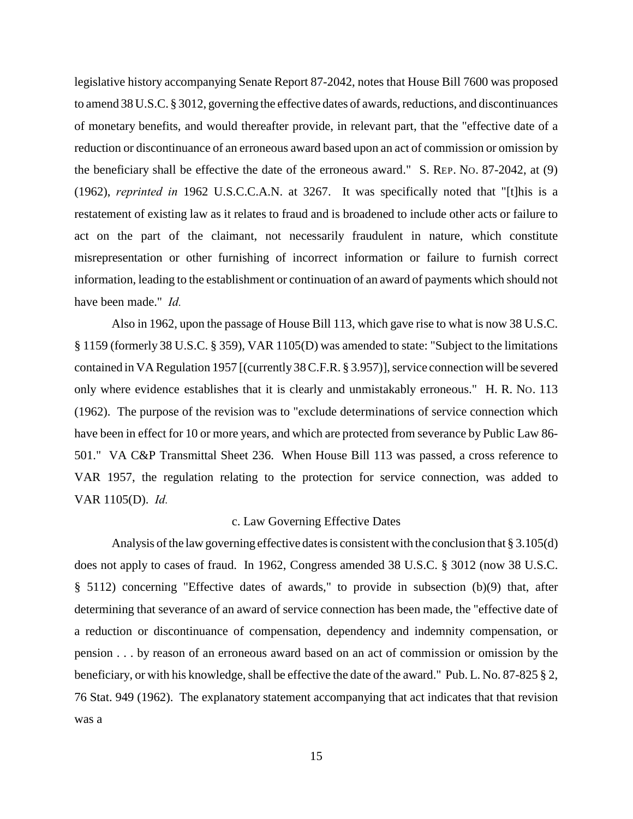legislative history accompanying Senate Report 87-2042, notes that House Bill 7600 was proposed to amend 38 U.S.C. § 3012, governing the effective dates of awards, reductions, and discontinuances of monetary benefits, and would thereafter provide, in relevant part, that the "effective date of a reduction or discontinuance of an erroneous award based upon an act of commission or omission by the beneficiary shall be effective the date of the erroneous award." S. REP. NO. 87-2042, at (9) (1962), *reprinted in* 1962 U.S.C.C.A.N. at 3267. It was specifically noted that "[t]his is a restatement of existing law as it relates to fraud and is broadened to include other acts or failure to act on the part of the claimant, not necessarily fraudulent in nature, which constitute misrepresentation or other furnishing of incorrect information or failure to furnish correct information, leading to the establishment or continuation of an award of payments which should not have been made." *Id.* 

Also in 1962, upon the passage of House Bill 113, which gave rise to what is now 38 U.S.C. § 1159 (formerly 38 U.S.C. § 359), VAR 1105(D) was amended to state: "Subject to the limitations contained in VA Regulation 1957 [(currently 38 C.F.R. § 3.957)], service connection will be severed only where evidence establishes that it is clearly and unmistakably erroneous." H. R. NO. 113 (1962). The purpose of the revision was to "exclude determinations of service connection which have been in effect for 10 or more years, and which are protected from severance by Public Law 86- 501." VA C&P Transmittal Sheet 236. When House Bill 113 was passed, a cross reference to VAR 1957, the regulation relating to the protection for service connection, was added to VAR 1105(D). *Id.*

#### c. Law Governing Effective Dates

Analysis of the law governing effective dates is consistent with the conclusion that § 3.105(d) does not apply to cases of fraud. In 1962, Congress amended 38 U.S.C. § 3012 (now 38 U.S.C. § 5112) concerning "Effective dates of awards," to provide in subsection (b)(9) that, after determining that severance of an award of service connection has been made, the "effective date of a reduction or discontinuance of compensation, dependency and indemnity compensation, or pension . . . by reason of an erroneous award based on an act of commission or omission by the beneficiary, or with his knowledge, shall be effective the date of the award." Pub. L. No. 87-825 § 2, 76 Stat. 949 (1962). The explanatory statement accompanying that act indicates that that revision was a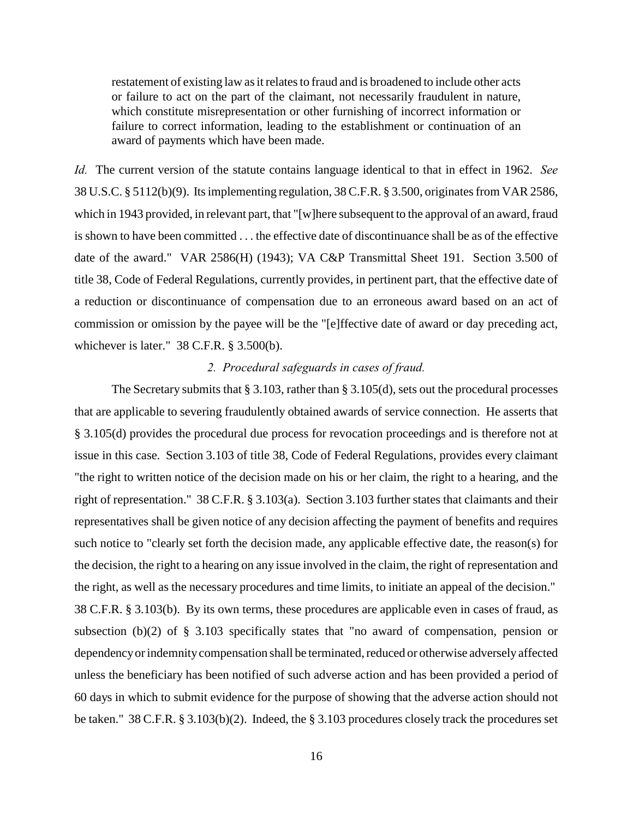restatement of existing law as it relates to fraud and is broadened to include other acts or failure to act on the part of the claimant, not necessarily fraudulent in nature, which constitute misrepresentation or other furnishing of incorrect information or failure to correct information, leading to the establishment or continuation of an award of payments which have been made.

*Id.* The current version of the statute contains language identical to that in effect in 1962. *See* 38 U.S.C. § 5112(b)(9). Its implementing regulation, 38 C.F.R. § 3.500, originates from VAR 2586, which in 1943 provided, in relevant part, that "[w]here subsequent to the approval of an award, fraud is shown to have been committed . . . the effective date of discontinuance shall be as of the effective date of the award." VAR 2586(H) (1943); VA C&P Transmittal Sheet 191. Section 3.500 of title 38, Code of Federal Regulations, currently provides, in pertinent part, that the effective date of a reduction or discontinuance of compensation due to an erroneous award based on an act of commission or omission by the payee will be the "[e]ffective date of award or day preceding act, whichever is later." 38 C.F.R. § 3.500(b).

#### *2. Procedural safeguards in cases of fraud.*

The Secretary submits that  $\S 3.103$ , rather than  $\S 3.105(d)$ , sets out the procedural processes that are applicable to severing fraudulently obtained awards of service connection. He asserts that § 3.105(d) provides the procedural due process for revocation proceedings and is therefore not at issue in this case. Section 3.103 of title 38, Code of Federal Regulations, provides every claimant "the right to written notice of the decision made on his or her claim, the right to a hearing, and the right of representation." 38 C.F.R. § 3.103(a). Section 3.103 further states that claimants and their representatives shall be given notice of any decision affecting the payment of benefits and requires such notice to "clearly set forth the decision made, any applicable effective date, the reason(s) for the decision, the right to a hearing on any issue involved in the claim, the right of representation and the right, as well as the necessary procedures and time limits, to initiate an appeal of the decision." 38 C.F.R. § 3.103(b). By its own terms, these procedures are applicable even in cases of fraud, as subsection (b)(2) of § 3.103 specifically states that "no award of compensation, pension or dependency or indemnity compensation shall be terminated, reduced or otherwise adversely affected unless the beneficiary has been notified of such adverse action and has been provided a period of 60 days in which to submit evidence for the purpose of showing that the adverse action should not be taken." 38 C.F.R. § 3.103(b)(2). Indeed, the § 3.103 procedures closely track the procedures set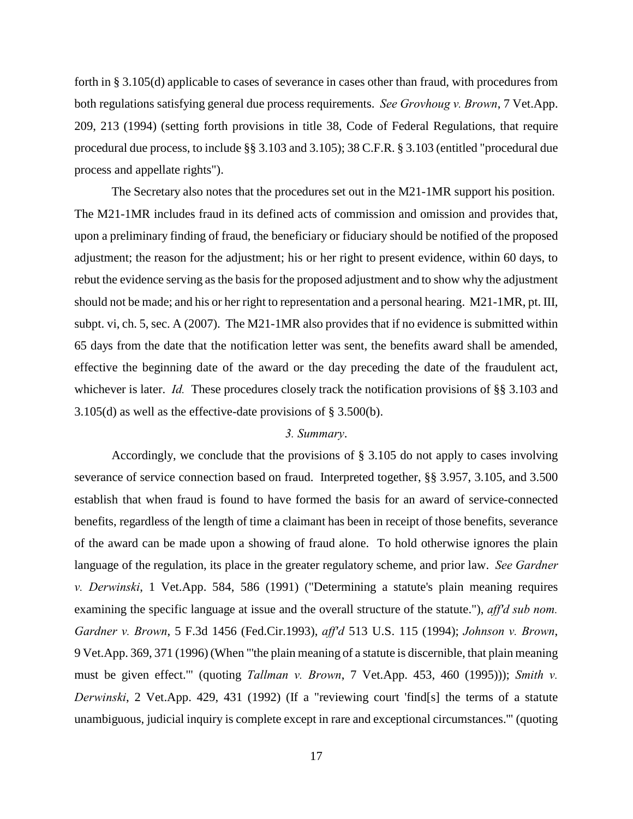forth in § 3.105(d) applicable to cases of severance in cases other than fraud, with procedures from both regulations satisfying general due process requirements. *See Grovhoug v. Brown*, 7 Vet.App. 209, 213 (1994) (setting forth provisions in title 38, Code of Federal Regulations, that require procedural due process, to include §§ 3.103 and 3.105); 38 C.F.R. § 3.103 (entitled "procedural due process and appellate rights").

The Secretary also notes that the procedures set out in the M21-1MR support his position. The M21-1MR includes fraud in its defined acts of commission and omission and provides that, upon a preliminary finding of fraud, the beneficiary or fiduciary should be notified of the proposed adjustment; the reason for the adjustment; his or her right to present evidence, within 60 days, to rebut the evidence serving as the basis for the proposed adjustment and to show why the adjustment should not be made; and his or her right to representation and a personal hearing. M21-1MR, pt. III, subpt. vi, ch. 5, sec. A (2007). The M21-1MR also provides that if no evidence is submitted within 65 days from the date that the notification letter was sent, the benefits award shall be amended, effective the beginning date of the award or the day preceding the date of the fraudulent act, whichever is later. *Id.* These procedures closely track the notification provisions of §§ 3.103 and 3.105(d) as well as the effective-date provisions of § 3.500(b).

#### *3. Summary*.

Accordingly, we conclude that the provisions of § 3.105 do not apply to cases involving severance of service connection based on fraud. Interpreted together, §§ 3.957, 3.105, and 3.500 establish that when fraud is found to have formed the basis for an award of service-connected benefits, regardless of the length of time a claimant has been in receipt of those benefits, severance of the award can be made upon a showing of fraud alone. To hold otherwise ignores the plain language of the regulation, its place in the greater regulatory scheme, and prior law. *See Gardner v. Derwinski*, 1 Vet.App. 584, 586 (1991) ("Determining a statute's plain meaning requires examining the specific language at issue and the overall structure of the statute."), *aff'd sub nom. Gardner v. Brown*, 5 F.3d 1456 (Fed.Cir.1993), *aff'd* 513 U.S. 115 (1994); *Johnson v. Brown*, 9 Vet.App. 369, 371 (1996) (When "'the plain meaning of a statute is discernible, that plain meaning must be given effect.'" (quoting *Tallman v. Brown*, 7 Vet.App. 453, 460 (1995))); *Smith v. Derwinski*, 2 Vet.App. 429, 431 (1992) (If a "reviewing court 'find[s] the terms of a statute unambiguous, judicial inquiry is complete except in rare and exceptional circumstances.'" (quoting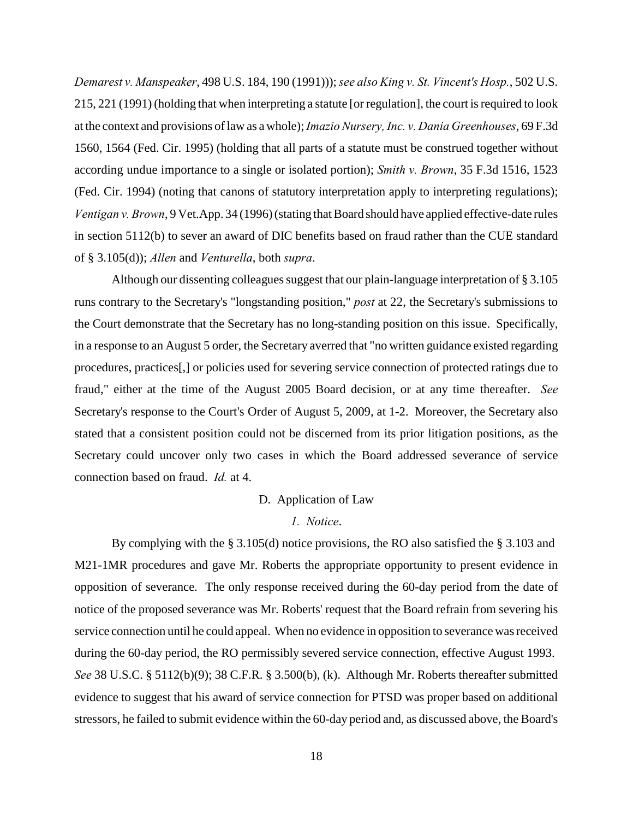*Demarest v. Manspeaker*, 498 U.S. 184, 190 (1991))); *see also King v. St. Vincent's Hosp.*, 502 U.S. 215, 221 (1991) (holding that when interpreting a statute [or regulation], the court is required to look at the context and provisions of law as a whole); *Imazio Nursery, Inc. v. Dania Greenhouses*, 69 F.3d 1560, 1564 (Fed. Cir. 1995) (holding that all parts of a statute must be construed together without according undue importance to a single or isolated portion); *Smith v. Brown*, 35 F.3d 1516, 1523 (Fed. Cir. 1994) (noting that canons of statutory interpretation apply to interpreting regulations); *Ventigan v. Brown*, 9 Vet.App. 34 (1996) (stating that Board should have applied effective-date rules in section 5112(b) to sever an award of DIC benefits based on fraud rather than the CUE standard of § 3.105(d)); *Allen* and *Venturella*, both *supra*.

Although our dissenting colleagues suggest that our plain-language interpretation of § 3.105 runs contrary to the Secretary's "longstanding position," *post* at 22, the Secretary's submissions to the Court demonstrate that the Secretary has no long-standing position on this issue. Specifically, in a response to an August 5 order, the Secretary averred that "no written guidance existed regarding procedures, practices[,] or policies used for severing service connection of protected ratings due to fraud," either at the time of the August 2005 Board decision, or at any time thereafter. *See* Secretary's response to the Court's Order of August 5, 2009, at 1-2. Moreover, the Secretary also stated that a consistent position could not be discerned from its prior litigation positions, as the Secretary could uncover only two cases in which the Board addressed severance of service connection based on fraud. *Id.* at 4.

#### D. Application of Law

#### *1. Notice*.

By complying with the § 3.105(d) notice provisions, the RO also satisfied the § 3.103 and M21-1MR procedures and gave Mr. Roberts the appropriate opportunity to present evidence in opposition of severance. The only response received during the 60-day period from the date of notice of the proposed severance was Mr. Roberts' request that the Board refrain from severing his service connection until he could appeal. When no evidence in opposition to severance was received during the 60-day period, the RO permissibly severed service connection, effective August 1993. *See* 38 U.S.C. § 5112(b)(9); 38 C.F.R. § 3.500(b), (k). Although Mr. Roberts thereafter submitted evidence to suggest that his award of service connection for PTSD was proper based on additional stressors, he failed to submit evidence within the 60-day period and, as discussed above, the Board's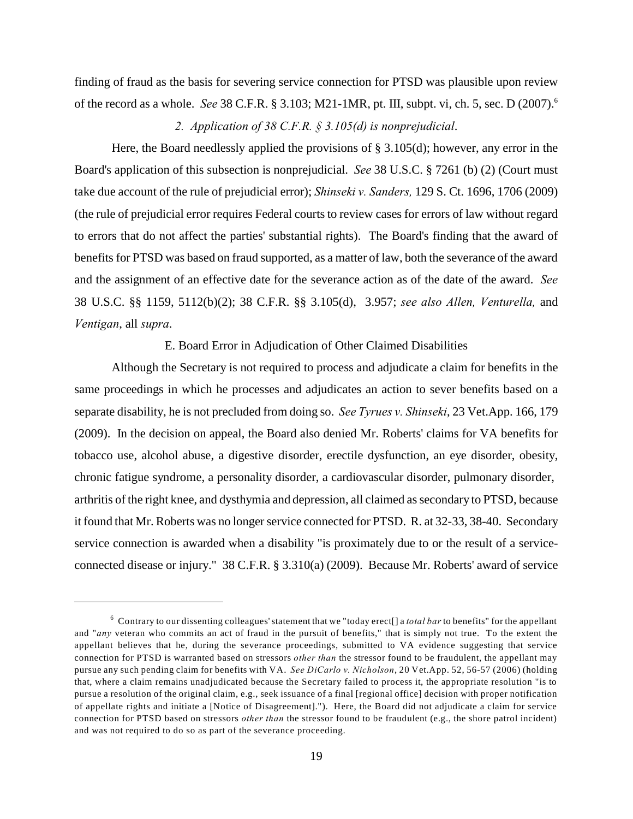finding of fraud as the basis for severing service connection for PTSD was plausible upon review of the record as a whole. *See* 38 C.F.R. § 3.103; M21-1MR, pt. III, subpt. vi, ch. 5, sec. D (2007).<sup>6</sup>

## *2. Application of 38 C.F.R. § 3.105(d) is nonprejudicial*.

Here, the Board needlessly applied the provisions of  $\S 3.105(d)$ ; however, any error in the Board's application of this subsection is nonprejudicial. *See* 38 U.S.C. § 7261 (b) (2) (Court must take due account of the rule of prejudicial error); *Shinseki v. Sanders,* 129 S. Ct. 1696, 1706 (2009) (the rule of prejudicial error requires Federal courts to review cases for errors of law without regard to errors that do not affect the parties' substantial rights). The Board's finding that the award of benefits for PTSD was based on fraud supported, as a matter of law, both the severance of the award and the assignment of an effective date for the severance action as of the date of the award. *See* 38 U.S.C. §§ 1159, 5112(b)(2); 38 C.F.R. §§ 3.105(d), 3.957; *see also Allen, Venturella,* and *Ventigan*, all *supra*.

#### E. Board Error in Adjudication of Other Claimed Disabilities

Although the Secretary is not required to process and adjudicate a claim for benefits in the same proceedings in which he processes and adjudicates an action to sever benefits based on a separate disability, he is not precluded from doing so. *See Tyrues v. Shinseki*, 23 Vet.App. 166, 179 (2009). In the decision on appeal, the Board also denied Mr. Roberts' claims for VA benefits for tobacco use, alcohol abuse, a digestive disorder, erectile dysfunction, an eye disorder, obesity, chronic fatigue syndrome, a personality disorder, a cardiovascular disorder, pulmonary disorder, arthritis of the right knee, and dysthymia and depression, all claimed as secondary to PTSD, because it found that Mr. Roberts was no longer service connected for PTSD. R. at 32-33, 38-40. Secondary service connection is awarded when a disability "is proximately due to or the result of a serviceconnected disease or injury." 38 C.F.R. § 3.310(a) (2009). Because Mr. Roberts' award of service

 $\epsilon$  Contrary to our dissenting colleagues' statement that we "today erect<sup>[]</sup> a *total bar* to benefits" for the appellant and "*any* veteran who commits an act of fraud in the pursuit of benefits," that is simply not true. To the extent the appellant believes that he, during the severance proceedings, submitted to VA evidence suggesting that service connection for PTSD is warranted based on stressors *other than* the stressor found to be fraudulent, the appellant may pursue any such pending claim for benefits with VA. *See DiCarlo v. Nicholson*, 20 Vet.App. 52, 56-57 (2006) (holding that, where a claim remains unadjudicated because the Secretary failed to process it, the appropriate resolution "is to pursue a resolution of the original claim, e.g., seek issuance of a final [regional office] decision with proper notification of appellate rights and initiate a [Notice of Disagreement]."). Here, the Board did not adjudicate a claim for service connection for PTSD based on stressors *other than* the stressor found to be fraudulent (e.g., the shore patrol incident) and was not required to do so as part of the severance proceeding.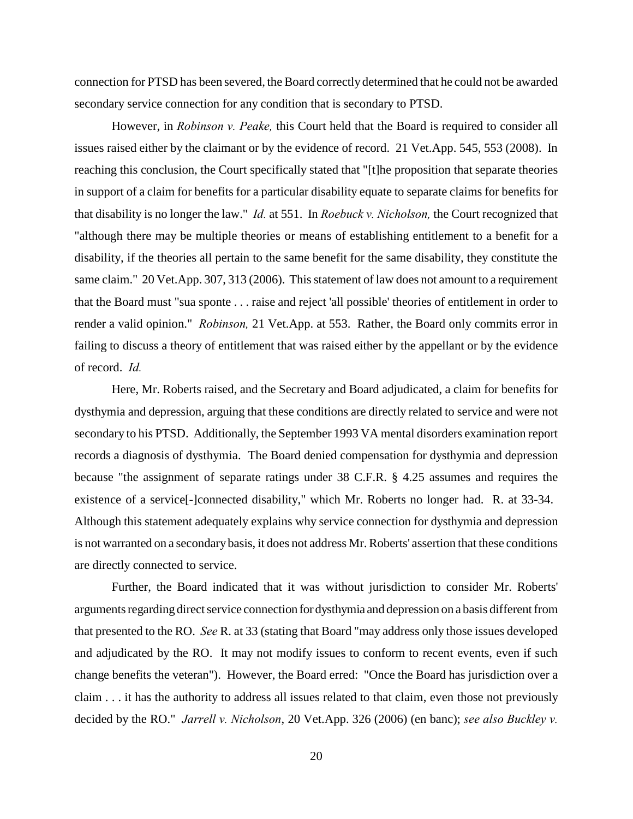connection for PTSD has been severed, the Board correctly determined that he could not be awarded secondary service connection for any condition that is secondary to PTSD.

However, in *Robinson v. Peake,* this Court held that the Board is required to consider all issues raised either by the claimant or by the evidence of record. 21 Vet.App. 545, 553 (2008). In reaching this conclusion, the Court specifically stated that "[t]he proposition that separate theories in support of a claim for benefits for a particular disability equate to separate claims for benefits for that disability is no longer the law." *Id.* at 551. In *Roebuck v. Nicholson,* the Court recognized that "although there may be multiple theories or means of establishing entitlement to a benefit for a disability, if the theories all pertain to the same benefit for the same disability, they constitute the same claim." 20 Vet.App. 307, 313 (2006). This statement of law does not amount to a requirement that the Board must "sua sponte . . . raise and reject 'all possible' theories of entitlement in order to render a valid opinion." *Robinson,* 21 Vet.App. at 553. Rather, the Board only commits error in failing to discuss a theory of entitlement that was raised either by the appellant or by the evidence of record. *Id.*

Here, Mr. Roberts raised, and the Secretary and Board adjudicated, a claim for benefits for dysthymia and depression, arguing that these conditions are directly related to service and were not secondary to his PTSD. Additionally, the September 1993 VA mental disorders examination report records a diagnosis of dysthymia. The Board denied compensation for dysthymia and depression because "the assignment of separate ratings under 38 C.F.R. § 4.25 assumes and requires the existence of a service[-]connected disability," which Mr. Roberts no longer had. R. at 33-34. Although this statement adequately explains why service connection for dysthymia and depression is not warranted on a secondary basis, it does not address Mr. Roberts' assertion that these conditions are directly connected to service.

Further, the Board indicated that it was without jurisdiction to consider Mr. Roberts' arguments regarding direct service connection for dysthymia and depression on a basis different from that presented to the RO. *See* R. at 33 (stating that Board "may address only those issues developed and adjudicated by the RO. It may not modify issues to conform to recent events, even if such change benefits the veteran"). However, the Board erred: "Once the Board has jurisdiction over a claim . . . it has the authority to address all issues related to that claim, even those not previously decided by the RO." *Jarrell v. Nicholson*, 20 Vet.App. 326 (2006) (en banc); *see also Buckley v.*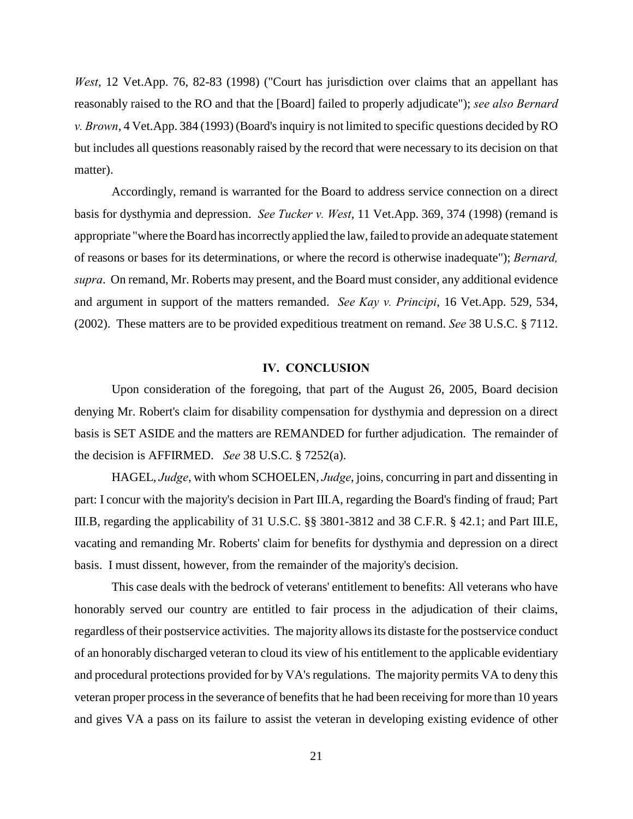*West*, 12 Vet.App. 76, 82-83 (1998) ("Court has jurisdiction over claims that an appellant has reasonably raised to the RO and that the [Board] failed to properly adjudicate"); *see also Bernard v. Brown*, 4 Vet.App. 384 (1993) (Board's inquiry is not limited to specific questions decided by RO but includes all questions reasonably raised by the record that were necessary to its decision on that matter).

Accordingly, remand is warranted for the Board to address service connection on a direct basis for dysthymia and depression. *See Tucker v. West*, 11 Vet.App. 369, 374 (1998) (remand is appropriate "where the Board has incorrectly applied the law, failed to provide an adequate statement of reasons or bases for its determinations, or where the record is otherwise inadequate"); *Bernard, supra*. On remand, Mr. Roberts may present, and the Board must consider, any additional evidence and argument in support of the matters remanded. *See Kay v. Principi*, 16 Vet.App. 529, 534, (2002). These matters are to be provided expeditious treatment on remand. *See* 38 U.S.C. § 7112.

#### **IV. CONCLUSION**

Upon consideration of the foregoing, that part of the August 26, 2005, Board decision denying Mr. Robert's claim for disability compensation for dysthymia and depression on a direct basis is SET ASIDE and the matters are REMANDED for further adjudication. The remainder of the decision is AFFIRMED. *See* 38 U.S.C. § 7252(a).

HAGEL, *Judge*, with whom SCHOELEN, *Judge*, joins, concurring in part and dissenting in part: I concur with the majority's decision in Part III.A, regarding the Board's finding of fraud; Part III.B, regarding the applicability of 31 U.S.C. §§ 3801-3812 and 38 C.F.R. § 42.1; and Part III.E, vacating and remanding Mr. Roberts' claim for benefits for dysthymia and depression on a direct basis. I must dissent, however, from the remainder of the majority's decision.

This case deals with the bedrock of veterans' entitlement to benefits: All veterans who have honorably served our country are entitled to fair process in the adjudication of their claims, regardless of their postservice activities. The majority allows its distaste for the postservice conduct of an honorably discharged veteran to cloud its view of his entitlement to the applicable evidentiary and procedural protections provided for by VA's regulations. The majority permits VA to deny this veteran proper process in the severance of benefits that he had been receiving for more than 10 years and gives VA a pass on its failure to assist the veteran in developing existing evidence of other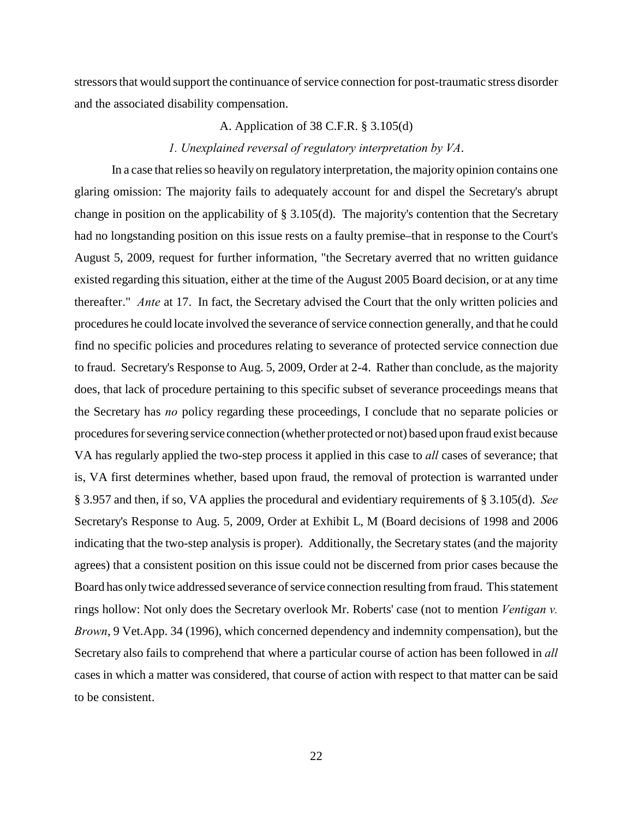stressors that would support the continuance of service connection for post-traumatic stress disorder and the associated disability compensation.

## A. Application of 38 C.F.R. § 3.105(d)

### *1. Unexplained reversal of regulatory interpretation by VA*.

In a case that relies so heavily on regulatory interpretation, the majority opinion contains one glaring omission: The majority fails to adequately account for and dispel the Secretary's abrupt change in position on the applicability of § 3.105(d). The majority's contention that the Secretary had no longstanding position on this issue rests on a faulty premise–that in response to the Court's August 5, 2009, request for further information, "the Secretary averred that no written guidance existed regarding this situation, either at the time of the August 2005 Board decision, or at any time thereafter." *Ante* at 17. In fact, the Secretary advised the Court that the only written policies and procedures he could locate involved the severance of service connection generally, and that he could find no specific policies and procedures relating to severance of protected service connection due to fraud. Secretary's Response to Aug. 5, 2009, Order at 2-4. Rather than conclude, as the majority does, that lack of procedure pertaining to this specific subset of severance proceedings means that the Secretary has *no* policy regarding these proceedings, I conclude that no separate policies or procedures for severing service connection (whether protected or not) based upon fraud exist because VA has regularly applied the two-step process it applied in this case to *all* cases of severance; that is, VA first determines whether, based upon fraud, the removal of protection is warranted under § 3.957 and then, if so, VA applies the procedural and evidentiary requirements of § 3.105(d). *See* Secretary's Response to Aug. 5, 2009, Order at Exhibit L, M (Board decisions of 1998 and 2006 indicating that the two-step analysis is proper). Additionally, the Secretary states (and the majority agrees) that a consistent position on this issue could not be discerned from prior cases because the Board has only twice addressed severance of service connection resulting from fraud. This statement rings hollow: Not only does the Secretary overlook Mr. Roberts' case (not to mention *Ventigan v. Brown*, 9 Vet.App. 34 (1996), which concerned dependency and indemnity compensation), but the Secretary also fails to comprehend that where a particular course of action has been followed in *all* cases in which a matter was considered, that course of action with respect to that matter can be said to be consistent.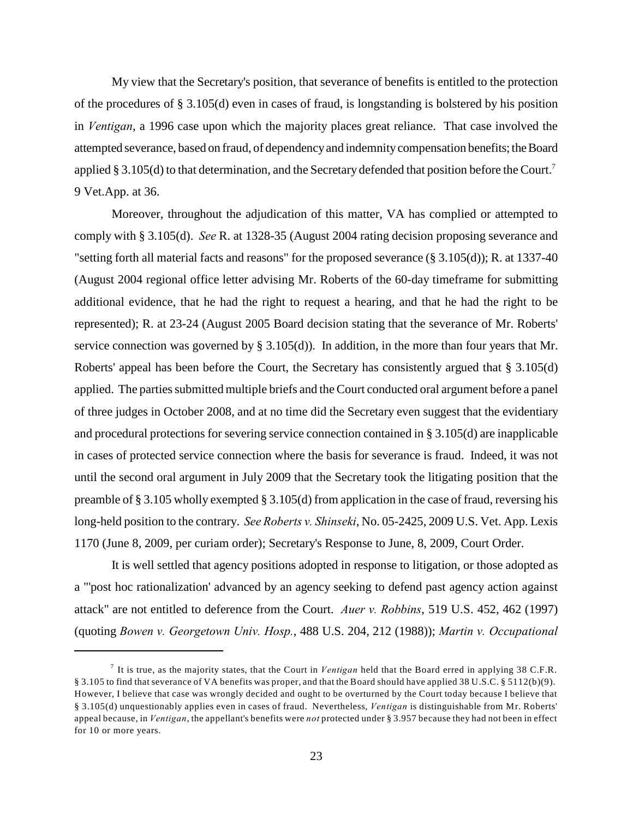My view that the Secretary's position, that severance of benefits is entitled to the protection of the procedures of § 3.105(d) even in cases of fraud, is longstanding is bolstered by his position in *Ventigan*, a 1996 case upon which the majority places great reliance. That case involved the attempted severance, based on fraud, of dependency and indemnity compensation benefits; the Board applied § 3.105(d) to that determination, and the Secretary defended that position before the Court.<sup>7</sup> 9 Vet.App. at 36.

Moreover, throughout the adjudication of this matter, VA has complied or attempted to comply with § 3.105(d). *See* R. at 1328-35 (August 2004 rating decision proposing severance and "setting forth all material facts and reasons" for the proposed severance (§ 3.105(d)); R. at 1337-40 (August 2004 regional office letter advising Mr. Roberts of the 60-day timeframe for submitting additional evidence, that he had the right to request a hearing, and that he had the right to be represented); R. at 23-24 (August 2005 Board decision stating that the severance of Mr. Roberts' service connection was governed by § 3.105(d)). In addition, in the more than four years that Mr. Roberts' appeal has been before the Court, the Secretary has consistently argued that § 3.105(d) applied. The parties submitted multiple briefs and the Court conducted oral argument before a panel of three judges in October 2008, and at no time did the Secretary even suggest that the evidentiary and procedural protections for severing service connection contained in § 3.105(d) are inapplicable in cases of protected service connection where the basis for severance is fraud. Indeed, it was not until the second oral argument in July 2009 that the Secretary took the litigating position that the preamble of § 3.105 wholly exempted § 3.105(d) from application in the case of fraud, reversing his long-held position to the contrary. *See Roberts v. Shinseki*, No. 05-2425, 2009 U.S. Vet. App. Lexis 1170 (June 8, 2009, per curiam order); Secretary's Response to June, 8, 2009, Court Order.

It is well settled that agency positions adopted in response to litigation, or those adopted as a "'post hoc rationalization' advanced by an agency seeking to defend past agency action against attack" are not entitled to deference from the Court. *Auer v. Robbins*, 519 U.S. 452, 462 (1997) (quoting *Bowen v. Georgetown Univ. Hosp.*, 488 U.S. 204, 212 (1988)); *Martin v. Occupational*

It is true, as the majority states, that the Court in *Ventigan* held that the Board erred in applying 38 C.F.R. <sup>7</sup> § 3.105 to find that severance of VA benefits was proper, and that the Board should have applied 38 U.S.C. § 5112(b)(9). However, I believe that case was wrongly decided and ought to be overturned by the Court today because I believe that § 3.105(d) unquestionably applies even in cases of fraud. Nevertheless, *Ventigan* is distinguishable from Mr. Roberts' appeal because, in *Ventigan*, the appellant's benefits were *not* protected under § 3.957 because they had not been in effect for 10 or more years.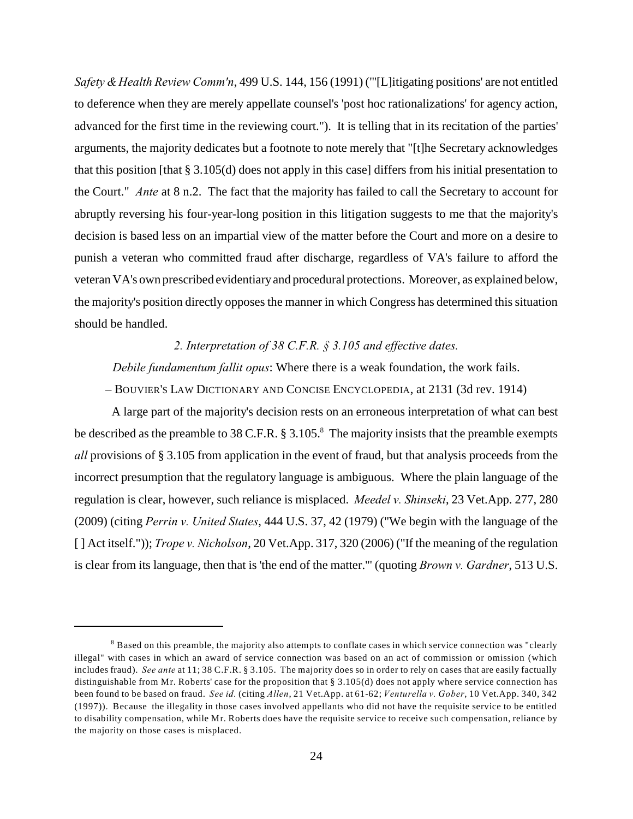*Safety & Health Review Comm'n*, 499 U.S. 144, 156 (1991) ("'[L]itigating positions' are not entitled to deference when they are merely appellate counsel's 'post hoc rationalizations' for agency action, advanced for the first time in the reviewing court."). It is telling that in its recitation of the parties' arguments, the majority dedicates but a footnote to note merely that "[t]he Secretary acknowledges that this position [that § 3.105(d) does not apply in this case] differs from his initial presentation to the Court." *Ante* at 8 n.2. The fact that the majority has failed to call the Secretary to account for abruptly reversing his four-year-long position in this litigation suggests to me that the majority's decision is based less on an impartial view of the matter before the Court and more on a desire to punish a veteran who committed fraud after discharge, regardless of VA's failure to afford the veteran VA's own prescribed evidentiary and procedural protections. Moreover, as explained below, the majority's position directly opposes the manner in which Congress has determined this situation should be handled.

### *2. Interpretation of 38 C.F.R. § 3.105 and effective dates.*

*Debile fundamentum fallit opus*: Where there is a weak foundation, the work fails.

– BOUVIER'S LAW DICTIONARY AND CONCISE ENCYCLOPEDIA, at 2131 (3d rev. 1914)

A large part of the majority's decision rests on an erroneous interpretation of what can best be described as the preamble to 38 C.F.R.  $\S 3.105$ .<sup>8</sup> The majority insists that the preamble exempts *all* provisions of § 3.105 from application in the event of fraud, but that analysis proceeds from the incorrect presumption that the regulatory language is ambiguous. Where the plain language of the regulation is clear, however, such reliance is misplaced. *Meedel v. Shinseki*, 23 Vet.App. 277, 280 (2009) (citing *Perrin v. United States*, 444 U.S. 37, 42 (1979) ("We begin with the language of the [ ] Act itself.")); *Trope v. Nicholson*, 20 Vet.App. 317, 320 (2006) ("If the meaning of the regulation is clear from its language, then that is 'the end of the matter.'" (quoting *Brown v. Gardner*, 513 U.S.

<sup>&</sup>lt;sup>8</sup> Based on this preamble, the majority also attempts to conflate cases in which service connection was "clearly illegal" with cases in which an award of service connection was based on an act of commission or omission (which includes fraud). *See ante* at 11; 38 C.F.R. § 3.105. The majority does so in order to rely on cases that are easily factually distinguishable from Mr. Roberts' case for the proposition that § 3.105(d) does not apply where service connection has been found to be based on fraud. *See id.* (citing *Allen*, 21 Vet.App. at 61-62; *Venturella v. Gober*, 10 Vet.App. 340, 342 (1997)). Because the illegality in those cases involved appellants who did not have the requisite service to be entitled to disability compensation, while Mr. Roberts does have the requisite service to receive such compensation, reliance by the majority on those cases is misplaced.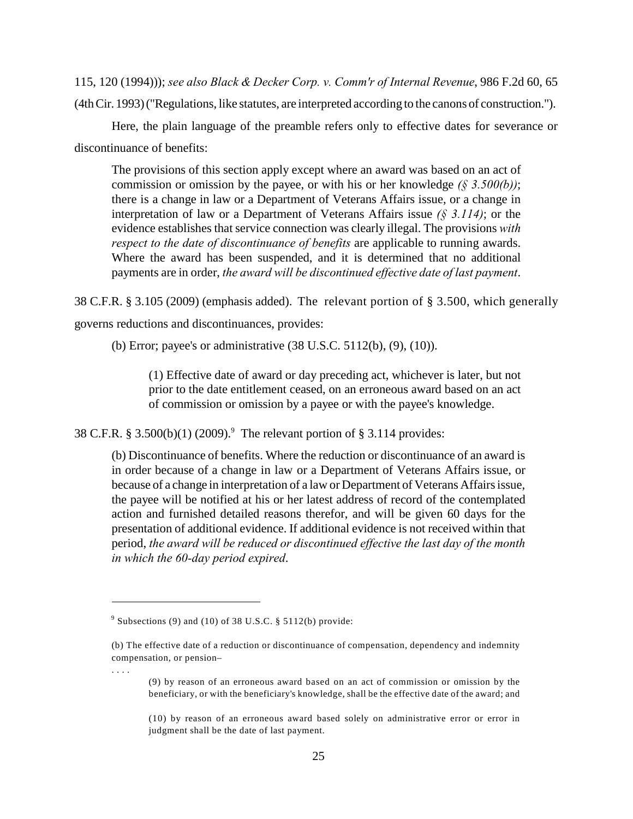115, 120 (1994))); *see also Black & Decker Corp. v. Comm'r of Internal Revenue*, 986 F.2d 60, 65 (4th Cir. 1993) ("Regulations, like statutes, are interpreted according to the canons of construction.").

Here, the plain language of the preamble refers only to effective dates for severance or discontinuance of benefits:

The provisions of this section apply except where an award was based on an act of commission or omission by the payee, or with his or her knowledge *(§ 3.500(b))*; there is a change in law or a Department of Veterans Affairs issue, or a change in interpretation of law or a Department of Veterans Affairs issue *(§ 3.114)*; or the evidence establishes that service connection was clearly illegal. The provisions *with respect to the date of discontinuance of benefits* are applicable to running awards. Where the award has been suspended, and it is determined that no additional payments are in order, *the award will be discontinued effective date of last payment*.

38 C.F.R. § 3.105 (2009) (emphasis added). The relevant portion of § 3.500, which generally governs reductions and discontinuances, provides:

(b) Error; payee's or administrative (38 U.S.C. 5112(b), (9), (10)).

(1) Effective date of award or day preceding act, whichever is later, but not prior to the date entitlement ceased, on an erroneous award based on an act of commission or omission by a payee or with the payee's knowledge.

38 C.F.R. § 3.500(b)(1) (2009).<sup>9</sup> The relevant portion of § 3.114 provides:

(b) Discontinuance of benefits. Where the reduction or discontinuance of an award is in order because of a change in law or a Department of Veterans Affairs issue, or because of a change in interpretation of a law or Department of Veterans Affairs issue, the payee will be notified at his or her latest address of record of the contemplated action and furnished detailed reasons therefor, and will be given 60 days for the presentation of additional evidence. If additional evidence is not received within that period, *the award will be reduced or discontinued effective the last day of the month in which the 60-day period expired*.

. . . .

(9) by reason of an erroneous award based on an act of commission or omission by the beneficiary, or with the beneficiary's knowledge, shall be the effective date of the award; and

(10) by reason of an erroneous award based solely on administrative error or error in judgment shall be the date of last payment.

 $\degree$  Subsections (9) and (10) of 38 U.S.C. § 5112(b) provide:

<sup>(</sup>b) The effective date of a reduction or discontinuance of compensation, dependency and indemnity compensation, or pension–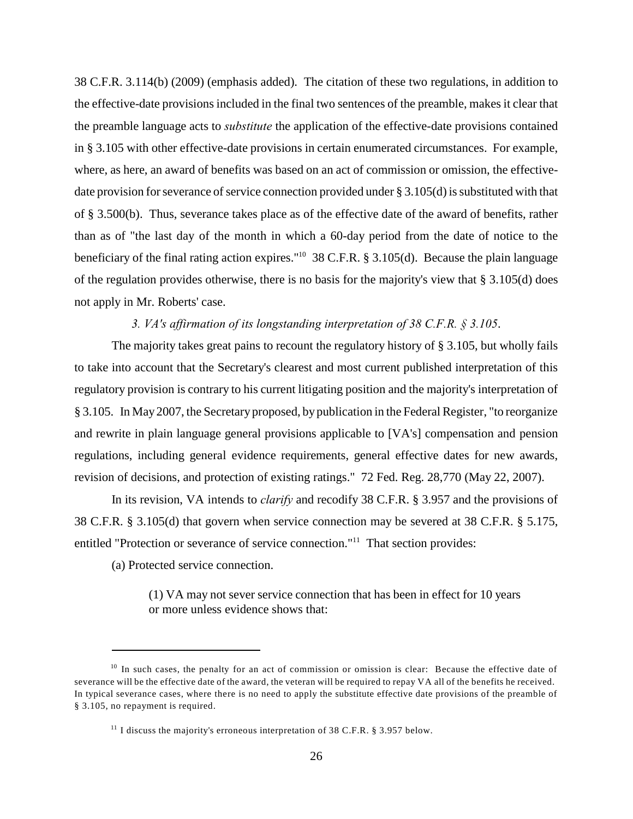38 C.F.R. 3.114(b) (2009) (emphasis added). The citation of these two regulations, in addition to the effective-date provisions included in the final two sentences of the preamble, makes it clear that the preamble language acts to *substitute* the application of the effective-date provisions contained in § 3.105 with other effective-date provisions in certain enumerated circumstances. For example, where, as here, an award of benefits was based on an act of commission or omission, the effectivedate provision for severance of service connection provided under § 3.105(d) is substituted with that of § 3.500(b). Thus, severance takes place as of the effective date of the award of benefits, rather than as of "the last day of the month in which a 60-day period from the date of notice to the beneficiary of the final rating action expires."<sup>10</sup> 38 C.F.R. § 3.105(d). Because the plain language of the regulation provides otherwise, there is no basis for the majority's view that § 3.105(d) does not apply in Mr. Roberts' case.

#### *3. VA's affirmation of its longstanding interpretation of 38 C.F.R. § 3.105*.

The majority takes great pains to recount the regulatory history of § 3.105, but wholly fails to take into account that the Secretary's clearest and most current published interpretation of this regulatory provision is contrary to his current litigating position and the majority's interpretation of § 3.105. In May 2007, the Secretary proposed, by publication in the Federal Register, "to reorganize and rewrite in plain language general provisions applicable to [VA's] compensation and pension regulations, including general evidence requirements, general effective dates for new awards, revision of decisions, and protection of existing ratings." 72 Fed. Reg. 28,770 (May 22, 2007).

In its revision, VA intends to *clarify* and recodify 38 C.F.R. § 3.957 and the provisions of 38 C.F.R. § 3.105(d) that govern when service connection may be severed at 38 C.F.R. § 5.175, entitled "Protection or severance of service connection."<sup>11</sup> That section provides:

(a) Protected service connection.

(1) VA may not sever service connection that has been in effect for 10 years or more unless evidence shows that:

 $10$  In such cases, the penalty for an act of commission or omission is clear: Because the effective date of severance will be the effective date of the award, the veteran will be required to repay VA all of the benefits he received. In typical severance cases, where there is no need to apply the substitute effective date provisions of the preamble of § 3.105, no repayment is required.

<sup>&</sup>lt;sup>11</sup> I discuss the majority's erroneous interpretation of 38 C.F.R. § 3.957 below.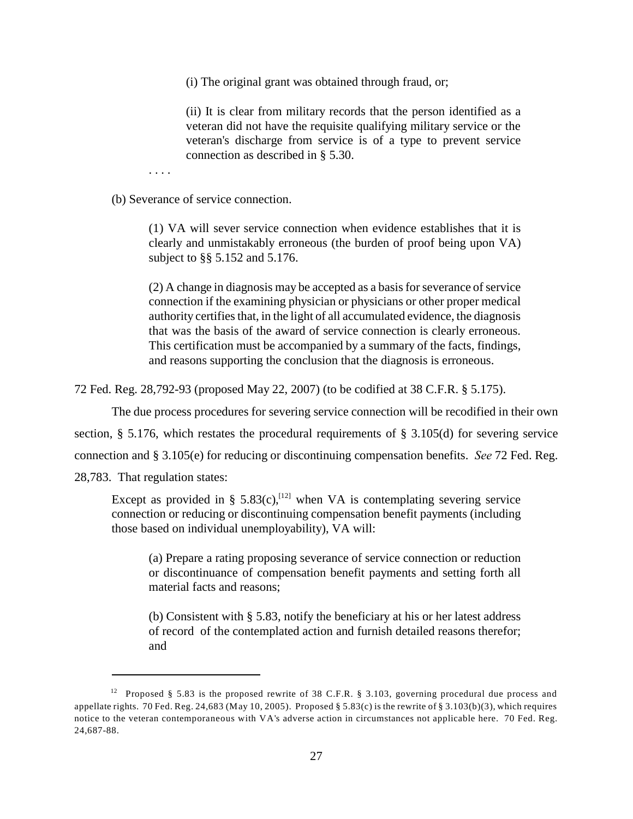(i) The original grant was obtained through fraud, or;

(ii) It is clear from military records that the person identified as a veteran did not have the requisite qualifying military service or the veteran's discharge from service is of a type to prevent service connection as described in § 5.30.

. . . .

(b) Severance of service connection.

(1) VA will sever service connection when evidence establishes that it is clearly and unmistakably erroneous (the burden of proof being upon VA) subject to §§ 5.152 and 5.176.

(2) A change in diagnosis may be accepted as a basis for severance of service connection if the examining physician or physicians or other proper medical authority certifies that, in the light of all accumulated evidence, the diagnosis that was the basis of the award of service connection is clearly erroneous. This certification must be accompanied by a summary of the facts, findings, and reasons supporting the conclusion that the diagnosis is erroneous.

72 Fed. Reg. 28,792-93 (proposed May 22, 2007) (to be codified at 38 C.F.R. § 5.175).

The due process procedures for severing service connection will be recodified in their own section, § 5.176, which restates the procedural requirements of § 3.105(d) for severing service connection and § 3.105(e) for reducing or discontinuing compensation benefits. *See* 72 Fed. Reg. 28,783. That regulation states:

Except as provided in § 5.83(c),<sup>[12]</sup> when VA is contemplating severing service connection or reducing or discontinuing compensation benefit payments (including those based on individual unemployability), VA will:

(a) Prepare a rating proposing severance of service connection or reduction or discontinuance of compensation benefit payments and setting forth all material facts and reasons;

(b) Consistent with § 5.83, notify the beneficiary at his or her latest address of record of the contemplated action and furnish detailed reasons therefor; and

<sup>&</sup>lt;sup>12</sup> Proposed § 5.83 is the proposed rewrite of 38 C.F.R. § 3.103, governing procedural due process and appellate rights. 70 Fed. Reg. 24,683 (May 10, 2005). Proposed § 5.83(c) is the rewrite of § 3.103(b)(3), which requires notice to the veteran contemporaneous with VA's adverse action in circumstances not applicable here. 70 Fed. Reg. 24,687-88.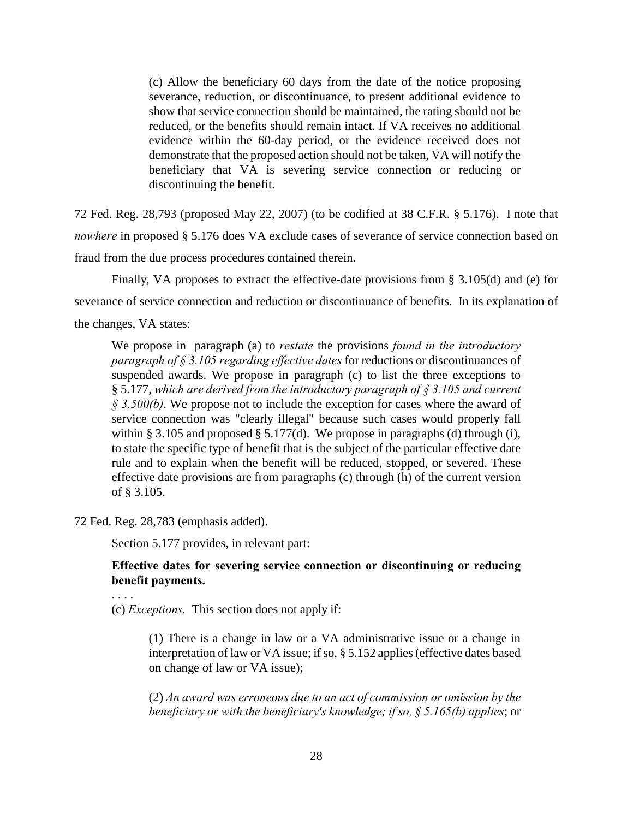(c) Allow the beneficiary 60 days from the date of the notice proposing severance, reduction, or discontinuance, to present additional evidence to show that service connection should be maintained, the rating should not be reduced, or the benefits should remain intact. If VA receives no additional evidence within the 60-day period, or the evidence received does not demonstrate that the proposed action should not be taken, VA will notify the beneficiary that VA is severing service connection or reducing or discontinuing the benefit.

72 Fed. Reg. 28,793 (proposed May 22, 2007) (to be codified at 38 C.F.R. § 5.176). I note that *nowhere* in proposed § 5.176 does VA exclude cases of severance of service connection based on fraud from the due process procedures contained therein.

Finally, VA proposes to extract the effective-date provisions from § 3.105(d) and (e) for severance of service connection and reduction or discontinuance of benefits. In its explanation of the changes, VA states:

We propose in paragraph (a) to *restate* the provisions *found in the introductory paragraph of § 3.105 regarding effective dates* for reductions or discontinuances of suspended awards. We propose in paragraph (c) to list the three exceptions to § 5.177, *which are derived from the introductory paragraph of § 3.105 and current § 3.500(b)*. We propose not to include the exception for cases where the award of service connection was "clearly illegal" because such cases would properly fall within § 3.105 and proposed § 5.177(d). We propose in paragraphs (d) through (i), to state the specific type of benefit that is the subject of the particular effective date rule and to explain when the benefit will be reduced, stopped, or severed. These effective date provisions are from paragraphs (c) through (h) of the current version of § 3.105.

72 Fed. Reg. 28,783 (emphasis added).

Section 5.177 provides, in relevant part:

## **Effective dates for severing service connection or discontinuing or reducing benefit payments.**

. . . .

(c) *Exceptions.* This section does not apply if:

(1) There is a change in law or a VA administrative issue or a change in interpretation of law or VA issue; if so, § 5.152 applies (effective dates based on change of law or VA issue);

(2) *An award was erroneous due to an act of commission or omission by the beneficiary or with the beneficiary's knowledge; if so, § 5.165(b) applies*; or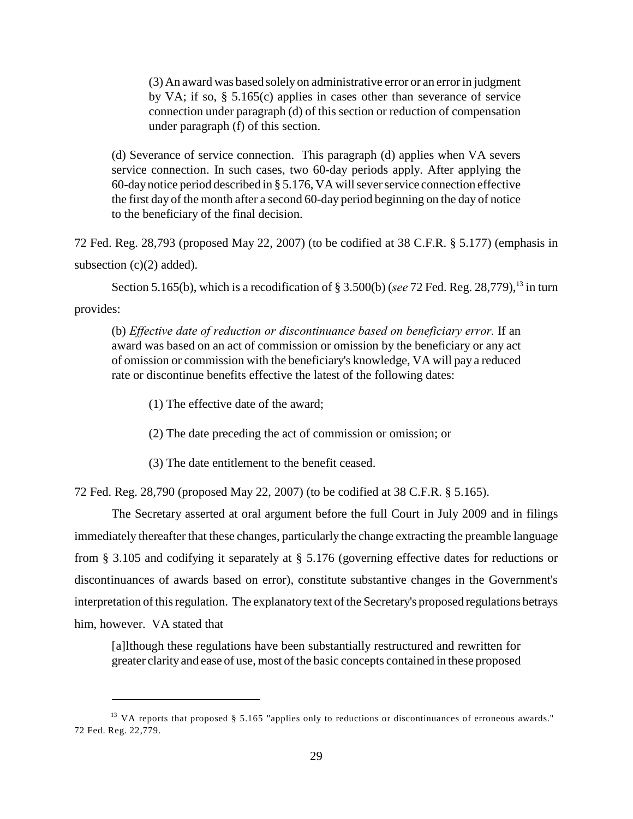(3) An award was based solely on administrative error or an error in judgment by VA; if so, § 5.165(c) applies in cases other than severance of service connection under paragraph (d) of this section or reduction of compensation under paragraph (f) of this section.

(d) Severance of service connection. This paragraph (d) applies when VA severs service connection. In such cases, two 60-day periods apply. After applying the 60-day notice period described in § 5.176, VA will sever service connection effective the first day of the month after a second 60-day period beginning on the day of notice to the beneficiary of the final decision.

72 Fed. Reg. 28,793 (proposed May 22, 2007) (to be codified at 38 C.F.R. § 5.177) (emphasis in subsection  $(c)(2)$  added).

Section 5.165(b), which is a recodification of  $\S 3.500(b)$  (*see 72 Fed. Reg. 28,779*), <sup>13</sup> in turn

provides:

(b) *Effective date of reduction or discontinuance based on beneficiary error.* If an award was based on an act of commission or omission by the beneficiary or any act of omission or commission with the beneficiary's knowledge, VA will pay a reduced rate or discontinue benefits effective the latest of the following dates:

(1) The effective date of the award;

(2) The date preceding the act of commission or omission; or

(3) The date entitlement to the benefit ceased.

72 Fed. Reg. 28,790 (proposed May 22, 2007) (to be codified at 38 C.F.R. § 5.165).

The Secretary asserted at oral argument before the full Court in July 2009 and in filings immediately thereafter that these changes, particularly the change extracting the preamble language from § 3.105 and codifying it separately at § 5.176 (governing effective dates for reductions or discontinuances of awards based on error), constitute substantive changes in the Government's interpretation of this regulation. The explanatory text of the Secretary's proposed regulations betrays him, however. VA stated that

[a]lthough these regulations have been substantially restructured and rewritten for greater clarity and ease of use, most of the basic concepts contained in these proposed

<sup>&</sup>lt;sup>13</sup> VA reports that proposed § 5.165 "applies only to reductions or discontinuances of erroneous awards." 72 Fed. Reg. 22,779.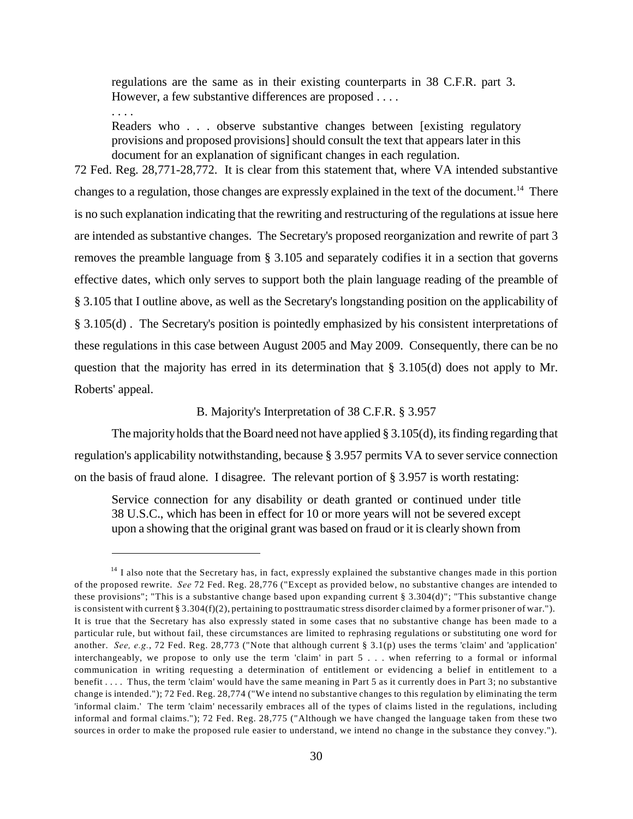regulations are the same as in their existing counterparts in 38 C.F.R. part 3. However, a few substantive differences are proposed . . . .

. . . .

Readers who . . . observe substantive changes between [existing regulatory provisions and proposed provisions] should consult the text that appears later in this document for an explanation of significant changes in each regulation.

72 Fed. Reg. 28,771-28,772. It is clear from this statement that, where VA intended substantive changes to a regulation, those changes are expressly explained in the text of the document.<sup>14</sup> There is no such explanation indicating that the rewriting and restructuring of the regulations at issue here are intended as substantive changes. The Secretary's proposed reorganization and rewrite of part 3 removes the preamble language from § 3.105 and separately codifies it in a section that governs effective dates, which only serves to support both the plain language reading of the preamble of § 3.105 that I outline above, as well as the Secretary's longstanding position on the applicability of § 3.105(d) . The Secretary's position is pointedly emphasized by his consistent interpretations of these regulations in this case between August 2005 and May 2009. Consequently, there can be no question that the majority has erred in its determination that § 3.105(d) does not apply to Mr. Roberts' appeal.

# B. Majority's Interpretation of 38 C.F.R. § 3.957

The majority holds that the Board need not have applied § 3.105(d), its finding regarding that regulation's applicability notwithstanding, because § 3.957 permits VA to sever service connection on the basis of fraud alone. I disagree. The relevant portion of § 3.957 is worth restating:

Service connection for any disability or death granted or continued under title 38 U.S.C., which has been in effect for 10 or more years will not be severed except upon a showing that the original grant was based on fraud or it is clearly shown from

 $14$  I also note that the Secretary has, in fact, expressly explained the substantive changes made in this portion of the proposed rewrite. *See* 72 Fed. Reg. 28,776 ("Except as provided below, no substantive changes are intended to these provisions"; "This is a substantive change based upon expanding current § 3.304(d)"; "This substantive change is consistent with current § 3.304(f)(2), pertaining to posttraumatic stress disorder claimed by a former prisoner of war."). It is true that the Secretary has also expressly stated in some cases that no substantive change has been made to a particular rule, but without fail, these circumstances are limited to rephrasing regulations or substituting one word for another. *See, e.g.*, 72 Fed. Reg. 28,773 ("Note that although current § 3.1(p) uses the terms 'claim' and 'application' interchangeably, we propose to only use the term 'claim' in part 5 . . . when referring to a formal or informal communication in writing requesting a determination of entitlement or evidencing a belief in entitlement to a benefit . . . . Thus, the term 'claim' would have the same meaning in Part 5 as it currently does in Part 3; no substantive change is intended."); 72 Fed. Reg. 28,774 ("We intend no substantive changes to this regulation by eliminating the term 'informal claim.' The term 'claim' necessarily embraces all of the types of claims listed in the regulations, including informal and formal claims."); 72 Fed. Reg. 28,775 ("Although we have changed the language taken from these two sources in order to make the proposed rule easier to understand, we intend no change in the substance they convey.").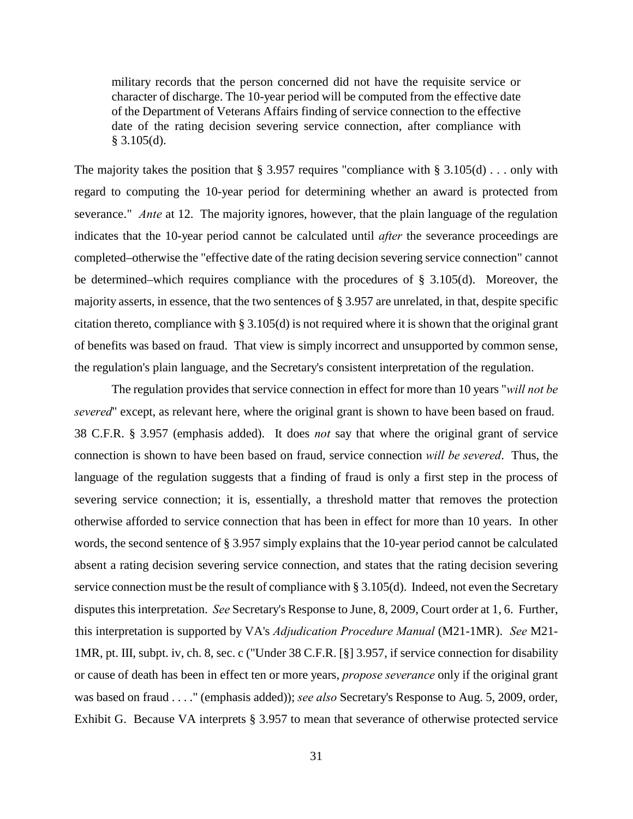military records that the person concerned did not have the requisite service or character of discharge. The 10-year period will be computed from the effective date of the Department of Veterans Affairs finding of service connection to the effective date of the rating decision severing service connection, after compliance with  $§$  3.105(d).

The majority takes the position that  $\S 3.957$  requires "compliance with  $\S 3.105(d)$ ... only with regard to computing the 10-year period for determining whether an award is protected from severance." *Ante* at 12. The majority ignores, however, that the plain language of the regulation indicates that the 10-year period cannot be calculated until *after* the severance proceedings are completed–otherwise the "effective date of the rating decision severing service connection" cannot be determined–which requires compliance with the procedures of § 3.105(d). Moreover, the majority asserts, in essence, that the two sentences of § 3.957 are unrelated, in that, despite specific citation thereto, compliance with § 3.105(d) is not required where it is shown that the original grant of benefits was based on fraud. That view is simply incorrect and unsupported by common sense, the regulation's plain language, and the Secretary's consistent interpretation of the regulation.

The regulation provides that service connection in effect for more than 10 years "*will not be severed*" except, as relevant here, where the original grant is shown to have been based on fraud. 38 C.F.R. § 3.957 (emphasis added). It does *not* say that where the original grant of service connection is shown to have been based on fraud, service connection *will be severed*. Thus, the language of the regulation suggests that a finding of fraud is only a first step in the process of severing service connection; it is, essentially, a threshold matter that removes the protection otherwise afforded to service connection that has been in effect for more than 10 years. In other words, the second sentence of § 3.957 simply explains that the 10-year period cannot be calculated absent a rating decision severing service connection, and states that the rating decision severing service connection must be the result of compliance with § 3.105(d). Indeed, not even the Secretary disputes this interpretation. *See* Secretary's Response to June, 8, 2009, Court order at 1, 6. Further, this interpretation is supported by VA's *Adjudication Procedure Manual* (M21-1MR). *See* M21- 1MR, pt. III, subpt. iv, ch. 8, sec. c ("Under 38 C.F.R. [§] 3.957, if service connection for disability or cause of death has been in effect ten or more years, *propose severance* only if the original grant was based on fraud . . . ." (emphasis added)); *see also* Secretary's Response to Aug. 5, 2009, order, Exhibit G. Because VA interprets § 3.957 to mean that severance of otherwise protected service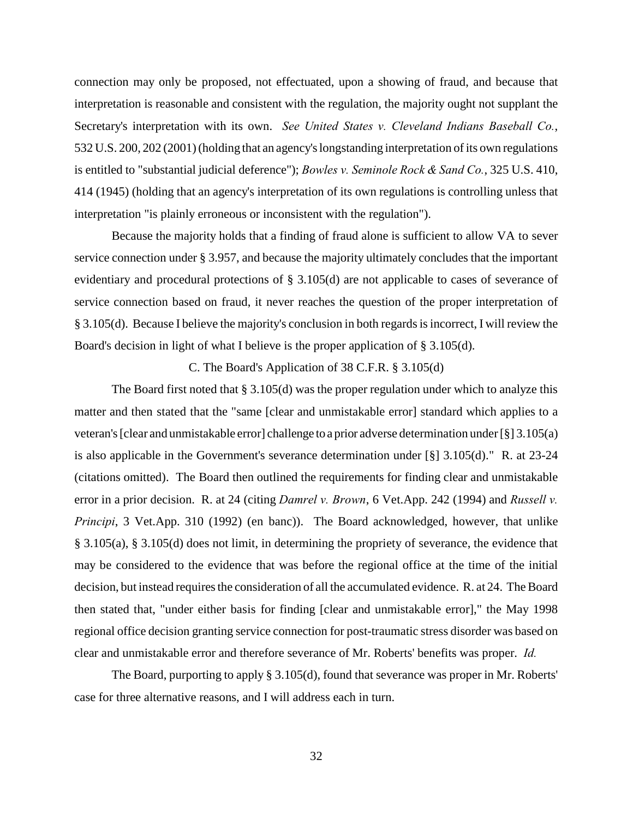connection may only be proposed, not effectuated, upon a showing of fraud, and because that interpretation is reasonable and consistent with the regulation, the majority ought not supplant the Secretary's interpretation with its own. *See United States v. Cleveland Indians Baseball Co.*, 532 U.S. 200, 202 (2001) (holding that an agency's longstanding interpretation of its own regulations is entitled to "substantial judicial deference"); *Bowles v. Seminole Rock & Sand Co.*, 325 U.S. 410, 414 (1945) (holding that an agency's interpretation of its own regulations is controlling unless that interpretation "is plainly erroneous or inconsistent with the regulation").

Because the majority holds that a finding of fraud alone is sufficient to allow VA to sever service connection under § 3.957, and because the majority ultimately concludes that the important evidentiary and procedural protections of § 3.105(d) are not applicable to cases of severance of service connection based on fraud, it never reaches the question of the proper interpretation of § 3.105(d). Because I believe the majority's conclusion in both regards is incorrect, I will review the Board's decision in light of what I believe is the proper application of § 3.105(d).

## C. The Board's Application of 38 C.F.R. § 3.105(d)

The Board first noted that § 3.105(d) was the proper regulation under which to analyze this matter and then stated that the "same [clear and unmistakable error] standard which applies to a veteran's [clear and unmistakable error] challenge to a prior adverse determination under [§] 3.105(a) is also applicable in the Government's severance determination under [§] 3.105(d)." R. at 23-24 (citations omitted). The Board then outlined the requirements for finding clear and unmistakable error in a prior decision. R. at 24 (citing *Damrel v. Brown*, 6 Vet.App. 242 (1994) and *Russell v. Principi*, 3 Vet.App. 310 (1992) (en banc)). The Board acknowledged, however, that unlike § 3.105(a), § 3.105(d) does not limit, in determining the propriety of severance, the evidence that may be considered to the evidence that was before the regional office at the time of the initial decision, but instead requires the consideration of all the accumulated evidence. R. at 24. The Board then stated that, "under either basis for finding [clear and unmistakable error]," the May 1998 regional office decision granting service connection for post-traumatic stress disorder was based on clear and unmistakable error and therefore severance of Mr. Roberts' benefits was proper. *Id.*

The Board, purporting to apply § 3.105(d), found that severance was proper in Mr. Roberts' case for three alternative reasons, and I will address each in turn.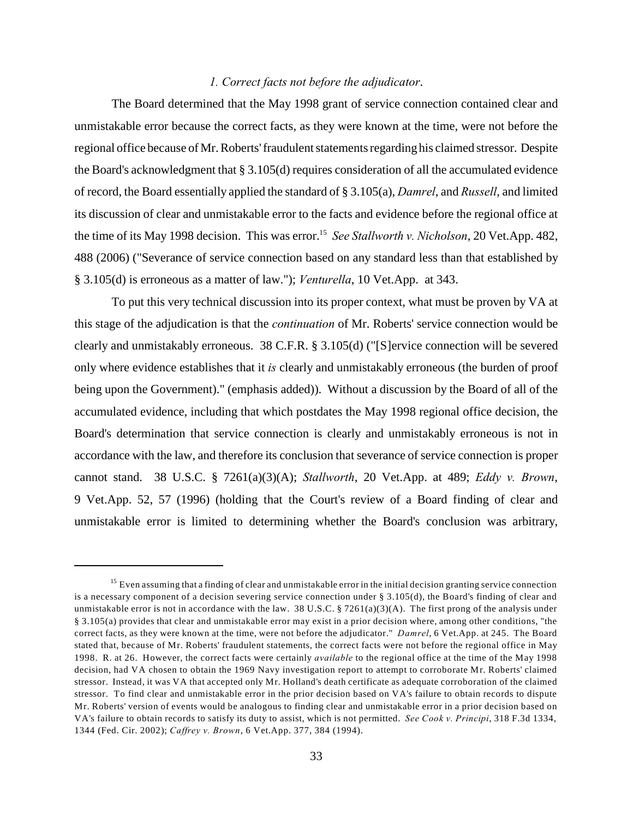### *1. Correct facts not before the adjudicator*.

The Board determined that the May 1998 grant of service connection contained clear and unmistakable error because the correct facts, as they were known at the time, were not before the regional office because of Mr. Roberts' fraudulent statements regarding his claimed stressor. Despite the Board's acknowledgment that § 3.105(d) requires consideration of all the accumulated evidence of record, the Board essentially applied the standard of § 3.105(a), *Damrel*, and *Russell*, and limited its discussion of clear and unmistakable error to the facts and evidence before the regional office at the time of its May 1998 decision. This was error.<sup>15</sup> See Stallworth v. Nicholson, 20 Vet.App. 482, 488 (2006) ("Severance of service connection based on any standard less than that established by § 3.105(d) is erroneous as a matter of law."); *Venturella*, 10 Vet.App. at 343.

To put this very technical discussion into its proper context, what must be proven by VA at this stage of the adjudication is that the *continuation* of Mr. Roberts' service connection would be clearly and unmistakably erroneous. 38 C.F.R. § 3.105(d) ("[S]ervice connection will be severed only where evidence establishes that it *is* clearly and unmistakably erroneous (the burden of proof being upon the Government)." (emphasis added)). Without a discussion by the Board of all of the accumulated evidence, including that which postdates the May 1998 regional office decision, the Board's determination that service connection is clearly and unmistakably erroneous is not in accordance with the law, and therefore its conclusion that severance of service connection is proper cannot stand. 38 U.S.C. § 7261(a)(3)(A); *Stallworth*, 20 Vet.App. at 489; *Eddy v. Brown*, 9 Vet.App. 52, 57 (1996) (holding that the Court's review of a Board finding of clear and unmistakable error is limited to determining whether the Board's conclusion was arbitrary,

<sup>&</sup>lt;sup>15</sup> Even assuming that a finding of clear and unmistakable error in the initial decision granting service connection is a necessary component of a decision severing service connection under  $\S 3.105(d)$ , the Board's finding of clear and unmistakable error is not in accordance with the law. 38 U.S.C. § 7261(a)(3)(A). The first prong of the analysis under § 3.105(a) provides that clear and unmistakable error may exist in a prior decision where, among other conditions, "the correct facts, as they were known at the time, were not before the adjudicator." *Damrel*, 6 Vet.App. at 245. The Board stated that, because of Mr. Roberts' fraudulent statements, the correct facts were not before the regional office in May 1998. R. at 26. However, the correct facts were certainly *available* to the regional office at the time of the May 1998 decision, had VA chosen to obtain the 1969 Navy investigation report to attempt to corroborate Mr. Roberts' claimed stressor. Instead, it was VA that accepted only Mr. Holland's death certificate as adequate corroboration of the claimed stressor. To find clear and unmistakable error in the prior decision based on VA's failure to obtain records to dispute Mr. Roberts' version of events would be analogous to finding clear and unmistakable error in a prior decision based on VA's failure to obtain records to satisfy its duty to assist, which is not permitted. *See Cook v. Principi*, 318 F.3d 1334, 1344 (Fed. Cir. 2002); *Caffrey v. Brown*, 6 Vet.App. 377, 384 (1994).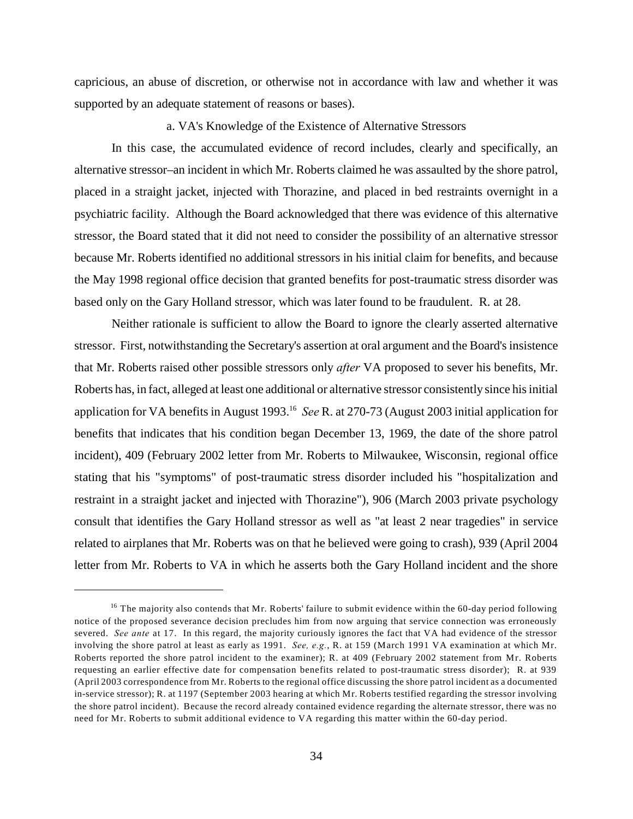capricious, an abuse of discretion, or otherwise not in accordance with law and whether it was supported by an adequate statement of reasons or bases).

#### a. VA's Knowledge of the Existence of Alternative Stressors

In this case, the accumulated evidence of record includes, clearly and specifically, an alternative stressor–an incident in which Mr. Roberts claimed he was assaulted by the shore patrol, placed in a straight jacket, injected with Thorazine, and placed in bed restraints overnight in a psychiatric facility. Although the Board acknowledged that there was evidence of this alternative stressor, the Board stated that it did not need to consider the possibility of an alternative stressor because Mr. Roberts identified no additional stressors in his initial claim for benefits, and because the May 1998 regional office decision that granted benefits for post-traumatic stress disorder was based only on the Gary Holland stressor, which was later found to be fraudulent. R. at 28.

Neither rationale is sufficient to allow the Board to ignore the clearly asserted alternative stressor. First, notwithstanding the Secretary's assertion at oral argument and the Board's insistence that Mr. Roberts raised other possible stressors only *after* VA proposed to sever his benefits, Mr. Roberts has, in fact, alleged at least one additional or alternative stressor consistently since his initial application for VA benefits in August 1993. *See* R. at 270-73 (August 2003 initial application for <sup>16</sup> benefits that indicates that his condition began December 13, 1969, the date of the shore patrol incident), 409 (February 2002 letter from Mr. Roberts to Milwaukee, Wisconsin, regional office stating that his "symptoms" of post-traumatic stress disorder included his "hospitalization and restraint in a straight jacket and injected with Thorazine"), 906 (March 2003 private psychology consult that identifies the Gary Holland stressor as well as "at least 2 near tragedies" in service related to airplanes that Mr. Roberts was on that he believed were going to crash), 939 (April 2004 letter from Mr. Roberts to VA in which he asserts both the Gary Holland incident and the shore

 $16$  The majority also contends that Mr. Roberts' failure to submit evidence within the 60-day period following notice of the proposed severance decision precludes him from now arguing that service connection was erroneously severed. *See ante* at 17. In this regard, the majority curiously ignores the fact that VA had evidence of the stressor involving the shore patrol at least as early as 1991. *See, e.g.*, R. at 159 (March 1991 VA examination at which Mr. Roberts reported the shore patrol incident to the examiner); R. at 409 (February 2002 statement from Mr. Roberts requesting an earlier effective date for compensation benefits related to post-traumatic stress disorder); R. at 939 (April 2003 correspondence from Mr. Roberts to the regional office discussing the shore patrol incident as a documented in-service stressor); R. at 1197 (September 2003 hearing at which Mr. Roberts testified regarding the stressor involving the shore patrol incident). Because the record already contained evidence regarding the alternate stressor, there was no need for Mr. Roberts to submit additional evidence to VA regarding this matter within the 60-day period.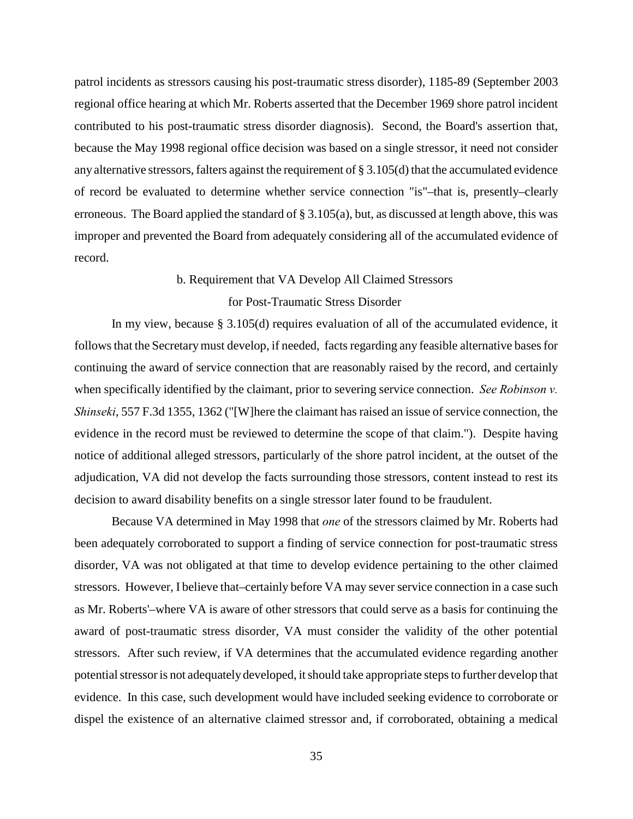patrol incidents as stressors causing his post-traumatic stress disorder), 1185-89 (September 2003 regional office hearing at which Mr. Roberts asserted that the December 1969 shore patrol incident contributed to his post-traumatic stress disorder diagnosis). Second, the Board's assertion that, because the May 1998 regional office decision was based on a single stressor, it need not consider any alternative stressors, falters against the requirement of § 3.105(d) that the accumulated evidence of record be evaluated to determine whether service connection "is"–that is, presently–clearly erroneous. The Board applied the standard of § 3.105(a), but, as discussed at length above, this was improper and prevented the Board from adequately considering all of the accumulated evidence of record.

#### b. Requirement that VA Develop All Claimed Stressors

#### for Post-Traumatic Stress Disorder

In my view, because § 3.105(d) requires evaluation of all of the accumulated evidence, it follows that the Secretary must develop, if needed, facts regarding any feasible alternative bases for continuing the award of service connection that are reasonably raised by the record, and certainly when specifically identified by the claimant, prior to severing service connection. *See Robinson v. Shinseki*, 557 F.3d 1355, 1362 ("[W]here the claimant has raised an issue of service connection, the evidence in the record must be reviewed to determine the scope of that claim."). Despite having notice of additional alleged stressors, particularly of the shore patrol incident, at the outset of the adjudication, VA did not develop the facts surrounding those stressors, content instead to rest its decision to award disability benefits on a single stressor later found to be fraudulent.

Because VA determined in May 1998 that *one* of the stressors claimed by Mr. Roberts had been adequately corroborated to support a finding of service connection for post-traumatic stress disorder, VA was not obligated at that time to develop evidence pertaining to the other claimed stressors. However, I believe that–certainly before VA may sever service connection in a case such as Mr. Roberts'–where VA is aware of other stressors that could serve as a basis for continuing the award of post-traumatic stress disorder, VA must consider the validity of the other potential stressors. After such review, if VA determines that the accumulated evidence regarding another potential stressor is not adequately developed, it should take appropriate steps to further develop that evidence. In this case, such development would have included seeking evidence to corroborate or dispel the existence of an alternative claimed stressor and, if corroborated, obtaining a medical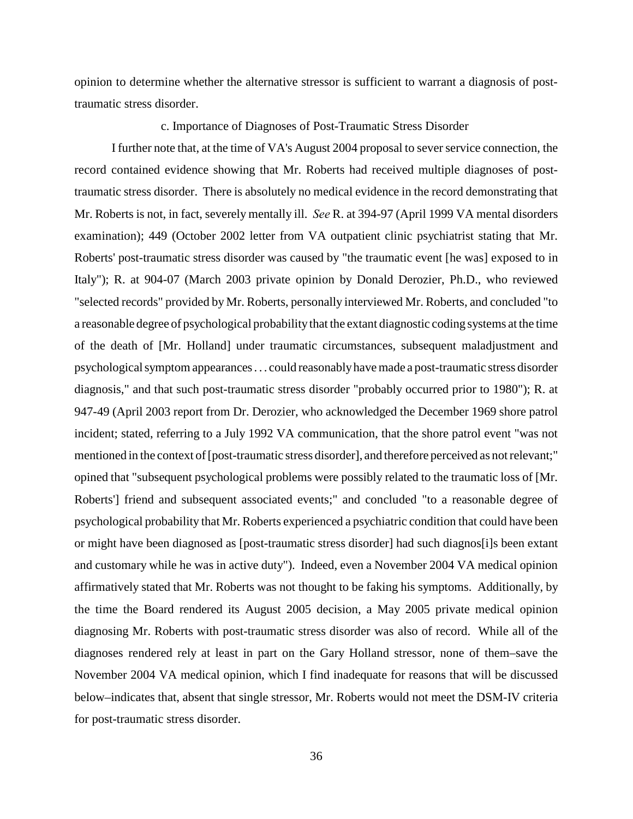opinion to determine whether the alternative stressor is sufficient to warrant a diagnosis of posttraumatic stress disorder.

### c. Importance of Diagnoses of Post-Traumatic Stress Disorder

I further note that, at the time of VA's August 2004 proposal to sever service connection, the record contained evidence showing that Mr. Roberts had received multiple diagnoses of posttraumatic stress disorder. There is absolutely no medical evidence in the record demonstrating that Mr. Roberts is not, in fact, severely mentally ill. *See* R. at 394-97 (April 1999 VA mental disorders examination); 449 (October 2002 letter from VA outpatient clinic psychiatrist stating that Mr. Roberts' post-traumatic stress disorder was caused by "the traumatic event [he was] exposed to in Italy"); R. at 904-07 (March 2003 private opinion by Donald Derozier, Ph.D., who reviewed "selected records" provided by Mr. Roberts, personally interviewed Mr. Roberts, and concluded "to a reasonable degree of psychological probability that the extant diagnostic coding systems at the time of the death of [Mr. Holland] under traumatic circumstances, subsequent maladjustment and psychological symptom appearances . . . could reasonably have made a post-traumatic stress disorder diagnosis," and that such post-traumatic stress disorder "probably occurred prior to 1980"); R. at 947-49 (April 2003 report from Dr. Derozier, who acknowledged the December 1969 shore patrol incident; stated, referring to a July 1992 VA communication, that the shore patrol event "was not mentioned in the context of [post-traumatic stress disorder], and therefore perceived as not relevant;" opined that "subsequent psychological problems were possibly related to the traumatic loss of [Mr. Roberts'] friend and subsequent associated events;" and concluded "to a reasonable degree of psychological probability that Mr. Roberts experienced a psychiatric condition that could have been or might have been diagnosed as [post-traumatic stress disorder] had such diagnos[i]s been extant and customary while he was in active duty"). Indeed, even a November 2004 VA medical opinion affirmatively stated that Mr. Roberts was not thought to be faking his symptoms. Additionally, by the time the Board rendered its August 2005 decision, a May 2005 private medical opinion diagnosing Mr. Roberts with post-traumatic stress disorder was also of record. While all of the diagnoses rendered rely at least in part on the Gary Holland stressor, none of them–save the November 2004 VA medical opinion, which I find inadequate for reasons that will be discussed below–indicates that, absent that single stressor, Mr. Roberts would not meet the DSM-IV criteria for post-traumatic stress disorder.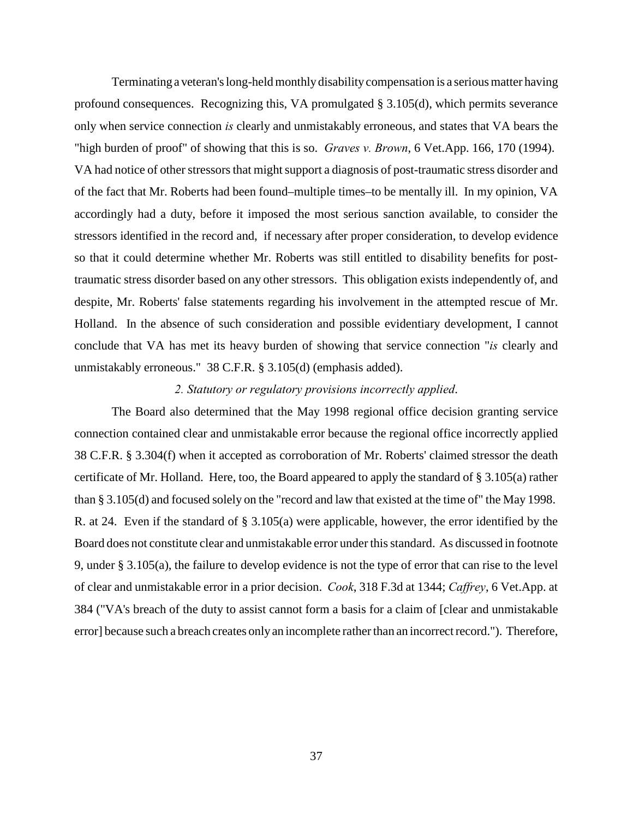Terminating a veteran's long-held monthly disability compensation is a serious matter having profound consequences. Recognizing this, VA promulgated § 3.105(d), which permits severance only when service connection *is* clearly and unmistakably erroneous, and states that VA bears the "high burden of proof" of showing that this is so. *Graves v. Brown*, 6 Vet.App. 166, 170 (1994). VA had notice of other stressors that might support a diagnosis of post-traumatic stress disorder and of the fact that Mr. Roberts had been found–multiple times–to be mentally ill. In my opinion, VA accordingly had a duty, before it imposed the most serious sanction available, to consider the stressors identified in the record and, if necessary after proper consideration, to develop evidence so that it could determine whether Mr. Roberts was still entitled to disability benefits for posttraumatic stress disorder based on any other stressors. This obligation exists independently of, and despite, Mr. Roberts' false statements regarding his involvement in the attempted rescue of Mr. Holland. In the absence of such consideration and possible evidentiary development, I cannot conclude that VA has met its heavy burden of showing that service connection "*is* clearly and unmistakably erroneous." 38 C.F.R. § 3.105(d) (emphasis added).

### *2. Statutory or regulatory provisions incorrectly applied*.

The Board also determined that the May 1998 regional office decision granting service connection contained clear and unmistakable error because the regional office incorrectly applied 38 C.F.R. § 3.304(f) when it accepted as corroboration of Mr. Roberts' claimed stressor the death certificate of Mr. Holland. Here, too, the Board appeared to apply the standard of § 3.105(a) rather than § 3.105(d) and focused solely on the "record and law that existed at the time of" the May 1998. R. at 24. Even if the standard of § 3.105(a) were applicable, however, the error identified by the Board does not constitute clear and unmistakable error under this standard. As discussed in footnote 9, under § 3.105(a), the failure to develop evidence is not the type of error that can rise to the level of clear and unmistakable error in a prior decision. *Cook*, 318 F.3d at 1344; *Caffrey*, 6 Vet.App. at 384 ("VA's breach of the duty to assist cannot form a basis for a claim of [clear and unmistakable error] because such a breach creates only an incomplete rather than an incorrect record."). Therefore,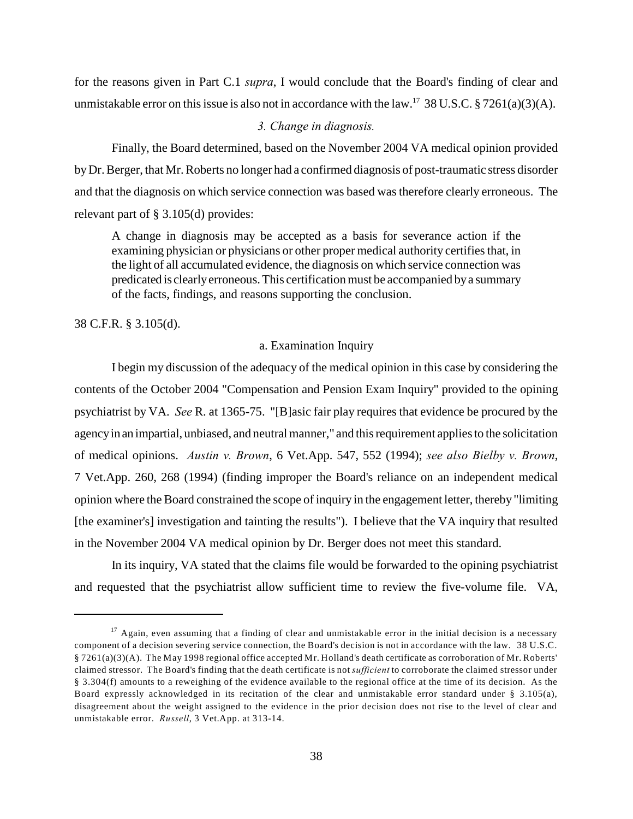for the reasons given in Part C.1 *supra*, I would conclude that the Board's finding of clear and unmistakable error on this issue is also not in accordance with the law.<sup>17</sup> 38 U.S.C. § 7261(a)(3)(A).

### *3. Change in diagnosis.*

Finally, the Board determined, based on the November 2004 VA medical opinion provided by Dr. Berger, that Mr. Roberts no longer had a confirmed diagnosis of post-traumatic stress disorder and that the diagnosis on which service connection was based was therefore clearly erroneous. The relevant part of § 3.105(d) provides:

A change in diagnosis may be accepted as a basis for severance action if the examining physician or physicians or other proper medical authority certifies that, in the light of all accumulated evidence, the diagnosis on which service connection was predicated is clearly erroneous. This certification must be accompanied by a summary of the facts, findings, and reasons supporting the conclusion.

38 C.F.R. § 3.105(d).

#### a. Examination Inquiry

I begin my discussion of the adequacy of the medical opinion in this case by considering the contents of the October 2004 "Compensation and Pension Exam Inquiry" provided to the opining psychiatrist by VA. *See* R. at 1365-75. "[B]asic fair play requires that evidence be procured by the agency in an impartial, unbiased, and neutral manner," and this requirement applies to the solicitation of medical opinions. *Austin v. Brown*, 6 Vet.App. 547, 552 (1994); *see also Bielby v. Brown*, 7 Vet.App. 260, 268 (1994) (finding improper the Board's reliance on an independent medical opinion where the Board constrained the scope of inquiry in the engagement letter, thereby "limiting [the examiner's] investigation and tainting the results"). I believe that the VA inquiry that resulted in the November 2004 VA medical opinion by Dr. Berger does not meet this standard.

In its inquiry, VA stated that the claims file would be forwarded to the opining psychiatrist and requested that the psychiatrist allow sufficient time to review the five-volume file. VA,

 $17$  Again, even assuming that a finding of clear and unmistakable error in the initial decision is a necessary component of a decision severing service connection, the Board's decision is not in accordance with the law. 38 U.S.C. § 7261(a)(3)(A). The May 1998 regional office accepted Mr. Holland's death certificate as corroboration of Mr. Roberts' claimed stressor. The Board's finding that the death certificate is not *sufficient* to corroborate the claimed stressor under § 3.304(f) amounts to a reweighing of the evidence available to the regional office at the time of its decision. As the Board expressly acknowledged in its recitation of the clear and unmistakable error standard under § 3.105(a), disagreement about the weight assigned to the evidence in the prior decision does not rise to the level of clear and unmistakable error. *Russell*, 3 Vet.App. at 313-14.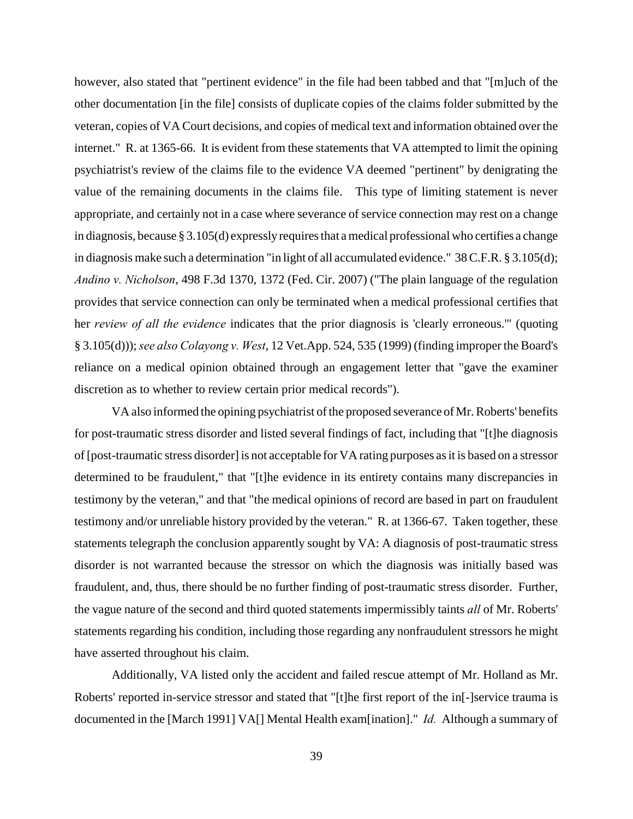however, also stated that "pertinent evidence" in the file had been tabbed and that "[m]uch of the other documentation [in the file] consists of duplicate copies of the claims folder submitted by the veteran, copies of VA Court decisions, and copies of medical text and information obtained over the internet." R. at 1365-66. It is evident from these statements that VA attempted to limit the opining psychiatrist's review of the claims file to the evidence VA deemed "pertinent" by denigrating the value of the remaining documents in the claims file. This type of limiting statement is never appropriate, and certainly not in a case where severance of service connection may rest on a change in diagnosis, because § 3.105(d) expressly requires that a medical professional who certifies a change in diagnosis make such a determination "in light of all accumulated evidence." 38 C.F.R. § 3.105(d); *Andino v. Nicholson*, 498 F.3d 1370, 1372 (Fed. Cir. 2007) ("The plain language of the regulation provides that service connection can only be terminated when a medical professional certifies that her *review of all the evidence* indicates that the prior diagnosis is 'clearly erroneous.'" (quoting § 3.105(d))); *see also Colayong v. West*, 12 Vet.App. 524, 535 (1999) (finding improper the Board's reliance on a medical opinion obtained through an engagement letter that "gave the examiner discretion as to whether to review certain prior medical records").

VA also informed the opining psychiatrist of the proposed severance of Mr. Roberts' benefits for post-traumatic stress disorder and listed several findings of fact, including that "[t]he diagnosis of [post-traumatic stress disorder] is not acceptable for VA rating purposes as it is based on a stressor determined to be fraudulent," that "[t]he evidence in its entirety contains many discrepancies in testimony by the veteran," and that "the medical opinions of record are based in part on fraudulent testimony and/or unreliable history provided by the veteran." R. at 1366-67. Taken together, these statements telegraph the conclusion apparently sought by VA: A diagnosis of post-traumatic stress disorder is not warranted because the stressor on which the diagnosis was initially based was fraudulent, and, thus, there should be no further finding of post-traumatic stress disorder. Further, the vague nature of the second and third quoted statements impermissibly taints *all* of Mr. Roberts' statements regarding his condition, including those regarding any nonfraudulent stressors he might have asserted throughout his claim.

Additionally, VA listed only the accident and failed rescue attempt of Mr. Holland as Mr. Roberts' reported in-service stressor and stated that "[t]he first report of the in[-]service trauma is documented in the [March 1991] VA[] Mental Health exam[ination]." *Id.* Although a summary of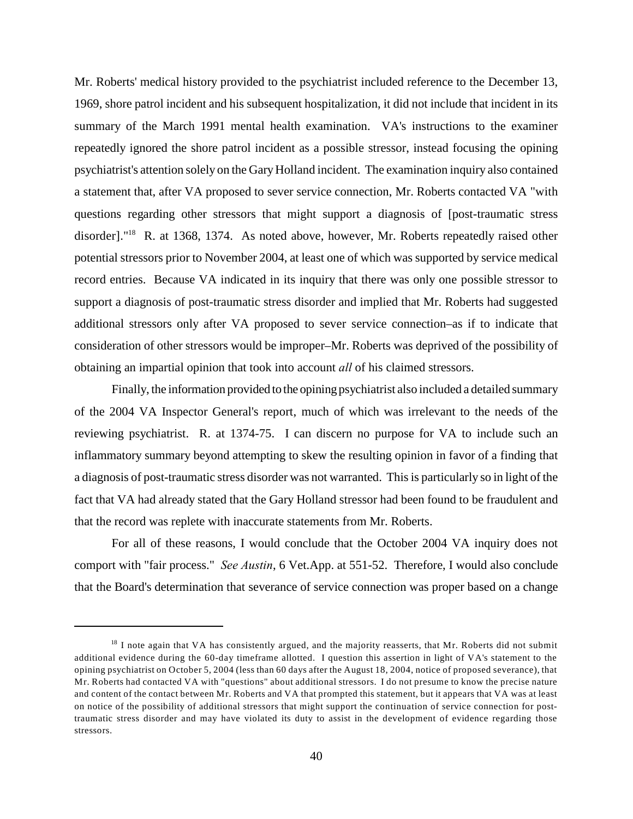Mr. Roberts' medical history provided to the psychiatrist included reference to the December 13, 1969, shore patrol incident and his subsequent hospitalization, it did not include that incident in its summary of the March 1991 mental health examination. VA's instructions to the examiner repeatedly ignored the shore patrol incident as a possible stressor, instead focusing the opining psychiatrist's attention solely on the Gary Holland incident. The examination inquiry also contained a statement that, after VA proposed to sever service connection, Mr. Roberts contacted VA "with questions regarding other stressors that might support a diagnosis of [post-traumatic stress disorder]."<sup>18</sup> R. at 1368, 1374. As noted above, however, Mr. Roberts repeatedly raised other potential stressors prior to November 2004, at least one of which was supported by service medical record entries. Because VA indicated in its inquiry that there was only one possible stressor to support a diagnosis of post-traumatic stress disorder and implied that Mr. Roberts had suggested additional stressors only after VA proposed to sever service connection–as if to indicate that consideration of other stressors would be improper–Mr. Roberts was deprived of the possibility of obtaining an impartial opinion that took into account *all* of his claimed stressors.

Finally, the information provided to the opining psychiatrist also included a detailed summary of the 2004 VA Inspector General's report, much of which was irrelevant to the needs of the reviewing psychiatrist. R. at 1374-75. I can discern no purpose for VA to include such an inflammatory summary beyond attempting to skew the resulting opinion in favor of a finding that a diagnosis of post-traumatic stress disorder was not warranted. This is particularly so in light of the fact that VA had already stated that the Gary Holland stressor had been found to be fraudulent and that the record was replete with inaccurate statements from Mr. Roberts.

For all of these reasons, I would conclude that the October 2004 VA inquiry does not comport with "fair process." *See Austin*, 6 Vet.App. at 551-52. Therefore, I would also conclude that the Board's determination that severance of service connection was proper based on a change

 $18$  I note again that VA has consistently argued, and the majority reasserts, that Mr. Roberts did not submit additional evidence during the 60-day timeframe allotted. I question this assertion in light of VA's statement to the opining psychiatrist on October 5, 2004 (less than 60 days after the August 18, 2004, notice of proposed severance), that Mr. Roberts had contacted VA with "questions" about additional stressors. I do not presume to know the precise nature and content of the contact between Mr. Roberts and VA that prompted this statement, but it appears that VA was at least on notice of the possibility of additional stressors that might support the continuation of service connection for posttraumatic stress disorder and may have violated its duty to assist in the development of evidence regarding those stressors.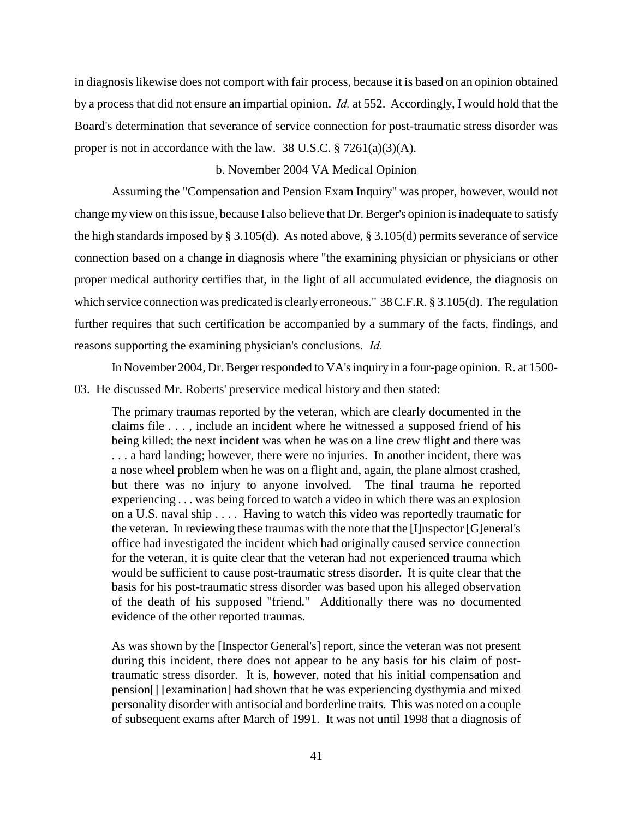in diagnosis likewise does not comport with fair process, because it is based on an opinion obtained by a process that did not ensure an impartial opinion. *Id.* at 552. Accordingly, I would hold that the Board's determination that severance of service connection for post-traumatic stress disorder was proper is not in accordance with the law. 38 U.S.C.  $\S 7261(a)(3)(A)$ .

### b. November 2004 VA Medical Opinion

Assuming the "Compensation and Pension Exam Inquiry" was proper, however, would not change my view on this issue, because I also believe that Dr. Berger's opinion is inadequate to satisfy the high standards imposed by § 3.105(d). As noted above, § 3.105(d) permits severance of service connection based on a change in diagnosis where "the examining physician or physicians or other proper medical authority certifies that, in the light of all accumulated evidence, the diagnosis on which service connection was predicated is clearly erroneous." 38 C.F.R. § 3.105(d). The regulation further requires that such certification be accompanied by a summary of the facts, findings, and reasons supporting the examining physician's conclusions. *Id.* 

In November 2004, Dr. Berger responded to VA's inquiry in a four-page opinion. R. at 1500-

03. He discussed Mr. Roberts' preservice medical history and then stated:

The primary traumas reported by the veteran, which are clearly documented in the claims file . . . , include an incident where he witnessed a supposed friend of his being killed; the next incident was when he was on a line crew flight and there was . . . a hard landing; however, there were no injuries. In another incident, there was a nose wheel problem when he was on a flight and, again, the plane almost crashed, but there was no injury to anyone involved. The final trauma he reported experiencing . . . was being forced to watch a video in which there was an explosion on a U.S. naval ship . . . . Having to watch this video was reportedly traumatic for the veteran. In reviewing these traumas with the note that the [I]nspector [G]eneral's office had investigated the incident which had originally caused service connection for the veteran, it is quite clear that the veteran had not experienced trauma which would be sufficient to cause post-traumatic stress disorder. It is quite clear that the basis for his post-traumatic stress disorder was based upon his alleged observation of the death of his supposed "friend." Additionally there was no documented evidence of the other reported traumas.

As was shown by the [Inspector General's] report, since the veteran was not present during this incident, there does not appear to be any basis for his claim of posttraumatic stress disorder. It is, however, noted that his initial compensation and pension[] [examination] had shown that he was experiencing dysthymia and mixed personality disorder with antisocial and borderline traits. This was noted on a couple of subsequent exams after March of 1991. It was not until 1998 that a diagnosis of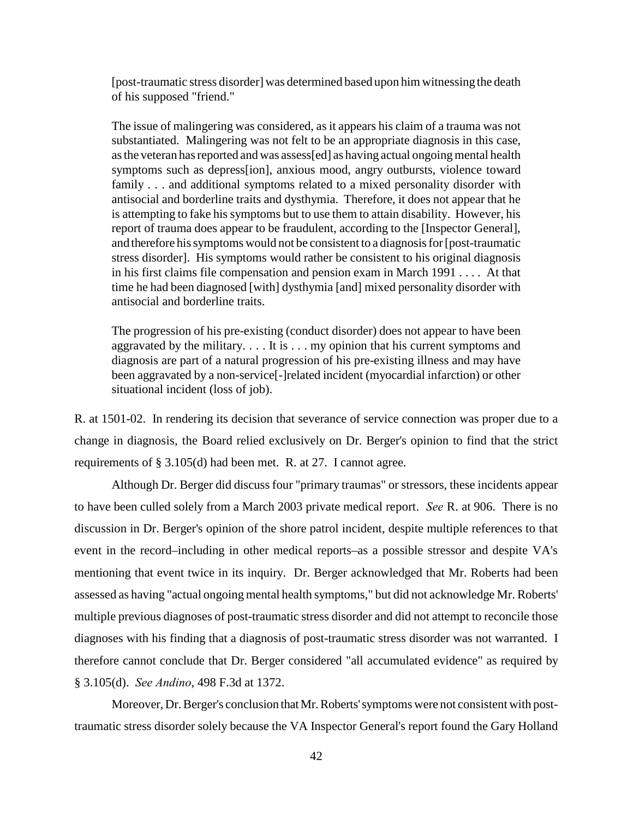[post-traumatic stress disorder] was determined based upon him witnessing the death of his supposed "friend."

The issue of malingering was considered, as it appears his claim of a trauma was not substantiated. Malingering was not felt to be an appropriate diagnosis in this case, as the veteran has reported and was assess[ed] as having actual ongoing mental health symptoms such as depress[ion], anxious mood, angry outbursts, violence toward family . . . and additional symptoms related to a mixed personality disorder with antisocial and borderline traits and dysthymia. Therefore, it does not appear that he is attempting to fake his symptoms but to use them to attain disability. However, his report of trauma does appear to be fraudulent, according to the [Inspector General], and therefore his symptoms would not be consistent to a diagnosis for [post-traumatic stress disorder]. His symptoms would rather be consistent to his original diagnosis in his first claims file compensation and pension exam in March 1991 . . . . At that time he had been diagnosed [with] dysthymia [and] mixed personality disorder with antisocial and borderline traits.

The progression of his pre-existing (conduct disorder) does not appear to have been aggravated by the military.  $\dots$  It is  $\dots$  my opinion that his current symptoms and diagnosis are part of a natural progression of his pre-existing illness and may have been aggravated by a non-service[-]related incident (myocardial infarction) or other situational incident (loss of job).

R. at 1501-02. In rendering its decision that severance of service connection was proper due to a change in diagnosis, the Board relied exclusively on Dr. Berger's opinion to find that the strict requirements of § 3.105(d) had been met. R. at 27. I cannot agree.

Although Dr. Berger did discuss four "primary traumas" or stressors, these incidents appear to have been culled solely from a March 2003 private medical report. *See* R. at 906. There is no discussion in Dr. Berger's opinion of the shore patrol incident, despite multiple references to that event in the record–including in other medical reports–as a possible stressor and despite VA's mentioning that event twice in its inquiry. Dr. Berger acknowledged that Mr. Roberts had been assessed as having "actual ongoing mental health symptoms," but did not acknowledge Mr. Roberts' multiple previous diagnoses of post-traumatic stress disorder and did not attempt to reconcile those diagnoses with his finding that a diagnosis of post-traumatic stress disorder was not warranted. I therefore cannot conclude that Dr. Berger considered "all accumulated evidence" as required by § 3.105(d). *See Andino*, 498 F.3d at 1372.

Moreover, Dr. Berger's conclusion that Mr. Roberts' symptoms were not consistent with posttraumatic stress disorder solely because the VA Inspector General's report found the Gary Holland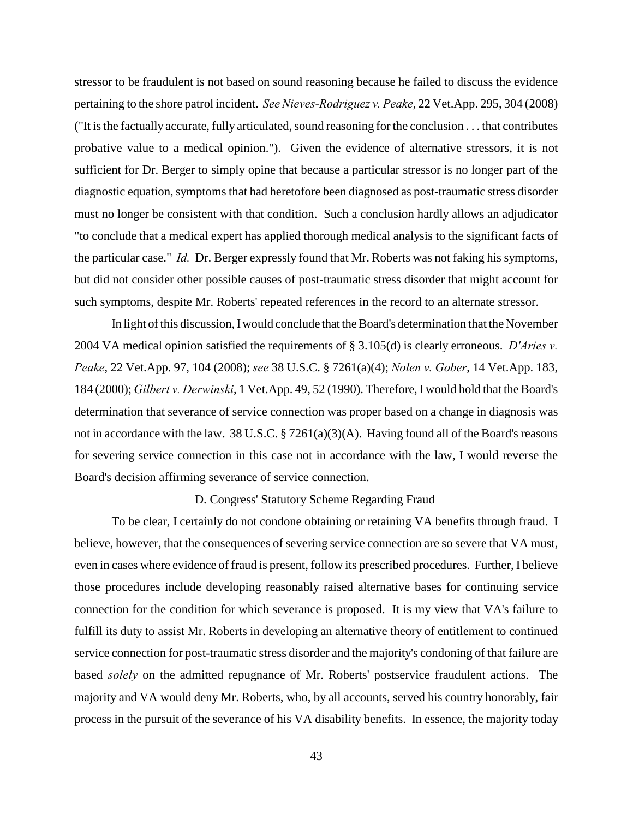stressor to be fraudulent is not based on sound reasoning because he failed to discuss the evidence pertaining to the shore patrol incident. *See Nieves-Rodriguez v. Peake*, 22 Vet.App. 295, 304 (2008) ("It is the factually accurate, fully articulated, sound reasoning for the conclusion . . . that contributes probative value to a medical opinion."). Given the evidence of alternative stressors, it is not sufficient for Dr. Berger to simply opine that because a particular stressor is no longer part of the diagnostic equation, symptoms that had heretofore been diagnosed as post-traumatic stress disorder must no longer be consistent with that condition. Such a conclusion hardly allows an adjudicator "to conclude that a medical expert has applied thorough medical analysis to the significant facts of the particular case." *Id.* Dr. Berger expressly found that Mr. Roberts was not faking his symptoms, but did not consider other possible causes of post-traumatic stress disorder that might account for such symptoms, despite Mr. Roberts' repeated references in the record to an alternate stressor.

In light of this discussion, I would conclude that the Board's determination that the November 2004 VA medical opinion satisfied the requirements of § 3.105(d) is clearly erroneous. *D'Aries v. Peake*, 22 Vet.App. 97, 104 (2008); *see* 38 U.S.C. § 7261(a)(4); *Nolen v. Gober*, 14 Vet.App. 183, 184 (2000); *Gilbert v. Derwinski*, 1 Vet.App. 49, 52 (1990). Therefore, I would hold that the Board's determination that severance of service connection was proper based on a change in diagnosis was not in accordance with the law. 38 U.S.C. § 7261(a)(3)(A). Having found all of the Board's reasons for severing service connection in this case not in accordance with the law, I would reverse the Board's decision affirming severance of service connection.

#### D. Congress' Statutory Scheme Regarding Fraud

To be clear, I certainly do not condone obtaining or retaining VA benefits through fraud. I believe, however, that the consequences of severing service connection are so severe that VA must, even in cases where evidence of fraud is present, follow its prescribed procedures. Further, I believe those procedures include developing reasonably raised alternative bases for continuing service connection for the condition for which severance is proposed. It is my view that VA's failure to fulfill its duty to assist Mr. Roberts in developing an alternative theory of entitlement to continued service connection for post-traumatic stress disorder and the majority's condoning of that failure are based *solely* on the admitted repugnance of Mr. Roberts' postservice fraudulent actions. The majority and VA would deny Mr. Roberts, who, by all accounts, served his country honorably, fair process in the pursuit of the severance of his VA disability benefits. In essence, the majority today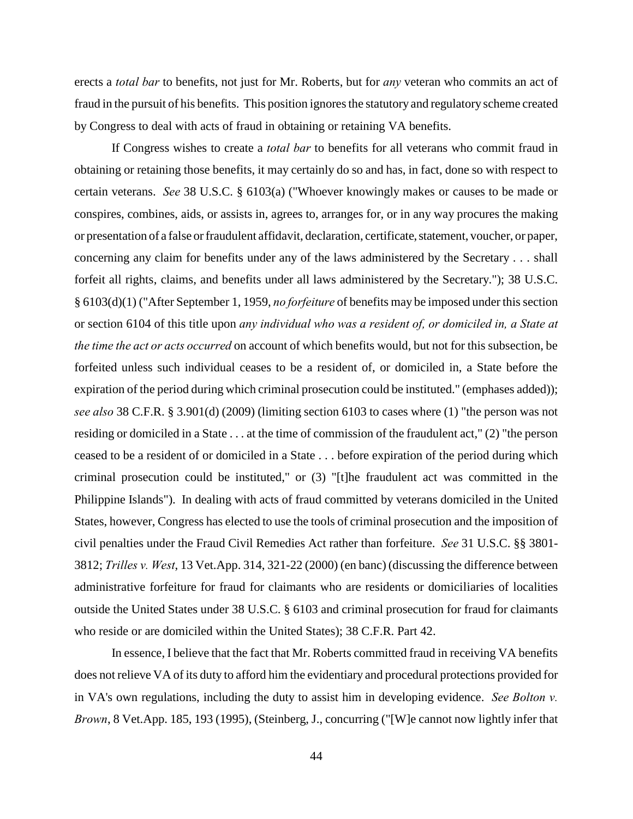erects a *total bar* to benefits, not just for Mr. Roberts, but for *any* veteran who commits an act of fraud in the pursuit of his benefits. This position ignores the statutory and regulatory scheme created by Congress to deal with acts of fraud in obtaining or retaining VA benefits.

If Congress wishes to create a *total bar* to benefits for all veterans who commit fraud in obtaining or retaining those benefits, it may certainly do so and has, in fact, done so with respect to certain veterans. *See* 38 U.S.C. § 6103(a) ("Whoever knowingly makes or causes to be made or conspires, combines, aids, or assists in, agrees to, arranges for, or in any way procures the making or presentation of a false or fraudulent affidavit, declaration, certificate, statement, voucher, or paper, concerning any claim for benefits under any of the laws administered by the Secretary . . . shall forfeit all rights, claims, and benefits under all laws administered by the Secretary."); 38 U.S.C. § 6103(d)(1) ("After September 1, 1959, *no forfeiture* of benefits may be imposed under this section or section 6104 of this title upon *any individual who was a resident of, or domiciled in, a State at the time the act or acts occurred* on account of which benefits would, but not for this subsection, be forfeited unless such individual ceases to be a resident of, or domiciled in, a State before the expiration of the period during which criminal prosecution could be instituted." (emphases added)); *see also* 38 C.F.R. § 3.901(d) (2009) (limiting section 6103 to cases where (1) "the person was not residing or domiciled in a State . . . at the time of commission of the fraudulent act," (2) "the person ceased to be a resident of or domiciled in a State . . . before expiration of the period during which criminal prosecution could be instituted," or (3) "[t]he fraudulent act was committed in the Philippine Islands"). In dealing with acts of fraud committed by veterans domiciled in the United States, however, Congress has elected to use the tools of criminal prosecution and the imposition of civil penalties under the Fraud Civil Remedies Act rather than forfeiture. *See* 31 U.S.C. §§ 3801- 3812; *Trilles v. West*, 13 Vet.App. 314, 321-22 (2000) (en banc) (discussing the difference between administrative forfeiture for fraud for claimants who are residents or domiciliaries of localities outside the United States under 38 U.S.C. § 6103 and criminal prosecution for fraud for claimants who reside or are domiciled within the United States); 38 C.F.R. Part 42.

In essence, I believe that the fact that Mr. Roberts committed fraud in receiving VA benefits does not relieve VA of its duty to afford him the evidentiary and procedural protections provided for in VA's own regulations, including the duty to assist him in developing evidence. *See Bolton v. Brown*, 8 Vet.App. 185, 193 (1995), (Steinberg, J., concurring ("[W]e cannot now lightly infer that